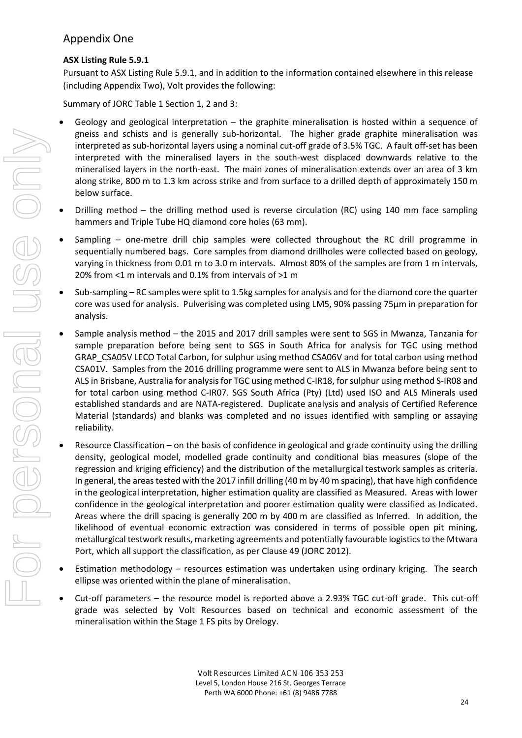### Appendix One

#### **ASX Listing Rule 5.9.1**

Pursuant to ASX Listing Rule 5.9.1, and in addition to the information contained elsewhere in this release (including Appendix Two), Volt provides the following:

Summary of JORC Table 1 Section 1, 2 and 3:

- Geology and geological interpretation  $-$  the graphite mineralisation is hosted within a sequence of gneiss and schists and is generally sub-horizontal. The higher grade graphite mineralisation was interpreted as sub-horizontal layers using a nominal cut-off grade of 3.5% TGC. A fault off-set has been interpreted with the mineralised layers in the south-west displaced downwards relative to the mineralised layers in the north-east. The main zones of mineralisation extends over an area of 3 km along strike, 800 m to 1.3 km across strike and from surface to a drilled depth of approximately 150 m below surface.
- Drilling method the drilling method used is reverse circulation (RC) using 140 mm face sampling hammers and Triple Tube HQ diamond core holes (63 mm).
- Sampling one-metre drill chip samples were collected throughout the RC drill programme in sequentially numbered bags. Core samples from diamond drillholes were collected based on geology, varying in thickness from 0.01 m to 3.0 m intervals. Almost 80% of the samples are from 1 m intervals, 20% from <1 m intervals and 0.1% from intervals of >1 m
- Sub-sampling RC samples were split to 1.5kg samples for analysis and for the diamond core the quarter core was used for analysis. Pulverising was completed using LM5, 90% passing 75μm in preparation for analysis.
- Sample analysis method the 2015 and 2017 drill samples were sent to SGS in Mwanza, Tanzania for sample preparation before being sent to SGS in South Africa for analysis for TGC using method GRAP\_CSA05V LECO Total Carbon, for sulphur using method CSA06V and for total carbon using method CSA01V. Samples from the 2016 drilling programme were sent to ALS in Mwanza before being sent to ALS in Brisbane, Australia for analysis for TGC using method C-IR18, for sulphur using method S-IR08 and for total carbon using method C-IR07. SGS South Africa (Pty) (Ltd) used ISO and ALS Minerals used established standards and are NATA-registered. Duplicate analysis and analysis of Certified Reference Material (standards) and blanks was completed and no issues identified with sampling or assaying reliability.
- Resource Classification on the basis of confidence in geological and grade continuity using the drilling density, geological model, modelled grade continuity and conditional bias measures (slope of the regression and kriging efficiency) and the distribution of the metallurgical testwork samples as criteria. In general, the areas tested with the 2017 infill drilling (40 m by 40 m spacing), that have high confidence in the geological interpretation, higher estimation quality are classified as Measured. Areas with lower confidence in the geological interpretation and poorer estimation quality were classified as Indicated. Areas where the drill spacing is generally 200 m by 400 m are classified as Inferred. In addition, the likelihood of eventual economic extraction was considered in terms of possible open pit mining, metallurgical testwork results, marketing agreements and potentially favourable logistics to the Mtwara Port, which all support the classification, as per Clause 49 (JORC 2012).
- Estimation methodology resources estimation was undertaken using ordinary kriging. The search ellipse was oriented within the plane of mineralisation.
- Cut-off parameters the resource model is reported above a 2.93% TGC cut-off grade. This cut-off grade was selected by Volt Resources based on technical and economic assessment of the mineralisation within the Stage 1 FS pits by Orelogy.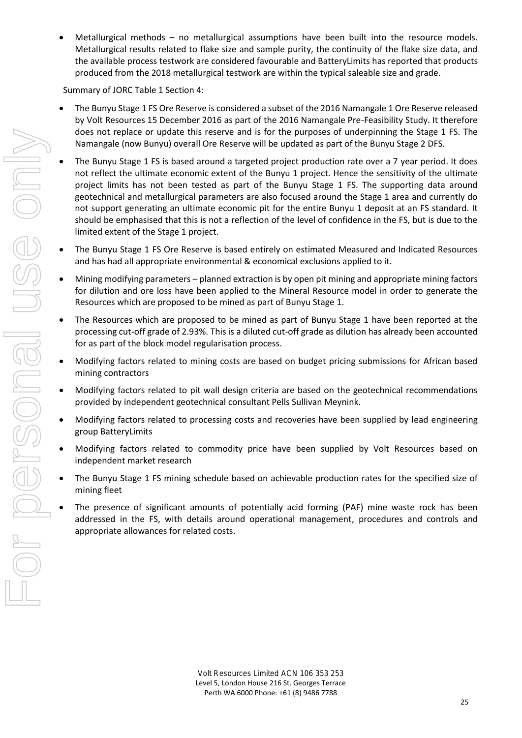• Metallurgical methods – no metallurgical assumptions have been built into the resource models. Metallurgical results related to flake size and sample purity, the continuity of the flake size data, and the available process testwork are considered favourable and BatteryLimits has reported that products produced from the 2018 metallurgical testwork are within the typical saleable size and grade.

Summary of JORC Table 1 Section 4:

- The Bunyu Stage 1 FS Ore Reserve is considered a subset of the 2016 Namangale 1 Ore Reserve released by Volt Resources 15 December 2016 as part of the 2016 Namangale Pre-Feasibility Study. It therefore does not replace or update this reserve and is for the purposes of underpinning the Stage 1 FS. The Namangale (now Bunyu) overall Ore Reserve will be updated as part of the Bunyu Stage 2 DFS.
- The Bunyu Stage 1 FS is based around a targeted project production rate over a 7 year period. It does not reflect the ultimate economic extent of the Bunyu 1 project. Hence the sensitivity of the ultimate project limits has not been tested as part of the Bunyu Stage 1 FS. The supporting data around geotechnical and metallurgical parameters are also focused around the Stage 1 area and currently do not support generating an ultimate economic pit for the entire Bunyu 1 deposit at an FS standard. It should be emphasised that this is not a reflection of the level of confidence in the FS, but is due to the limited extent of the Stage 1 project.
- The Bunyu Stage 1 FS Ore Reserve is based entirely on estimated Measured and Indicated Resources and has had all appropriate environmental & economical exclusions applied to it.
- Mining modifying parameters planned extraction is by open pit mining and appropriate mining factors for dilution and ore loss have been applied to the Mineral Resource model in order to generate the Resources which are proposed to be mined as part of Bunyu Stage 1.
- The Resources which are proposed to be mined as part of Bunyu Stage 1 have been reported at the processing cut-off grade of 2.93%. This is a diluted cut-off grade as dilution has already been accounted for as part of the block model regularisation process.
- Modifying factors related to mining costs are based on budget pricing submissions for African based mining contractors
- Modifying factors related to pit wall design criteria are based on the geotechnical recommendations provided by independent geotechnical consultant Pells Sullivan Meynink.
- Modifying factors related to processing costs and recoveries have been supplied by lead engineering group BatteryLimits
- Modifying factors related to commodity price have been supplied by Volt Resources based on independent market research
- The Bunyu Stage 1 FS mining schedule based on achievable production rates for the specified size of mining fleet
- The presence of significant amounts of potentially acid forming (PAF) mine waste rock has been addressed in the FS, with details around operational management, procedures and controls and appropriate allowances for related costs.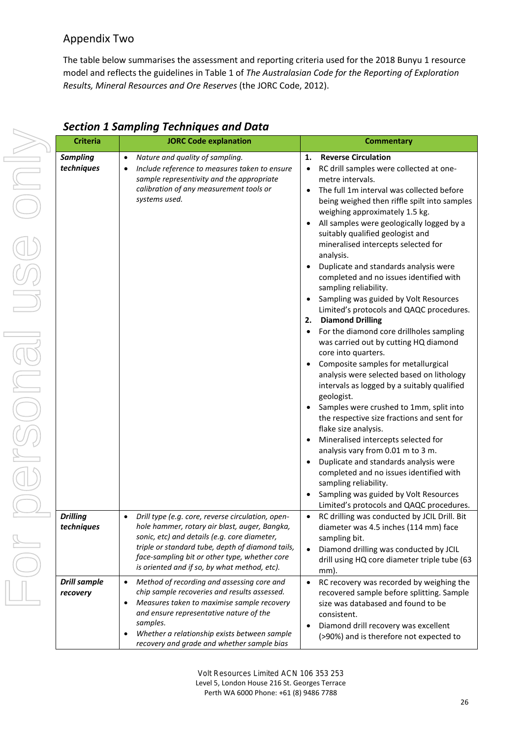#### Appendix Two

The table below summarises the assessment and reporting criteria used for the 2018 Bunyu 1 resource model and reflects the guidelines in Table 1 of *The Australasian Code for the Reporting of Exploration Results, Mineral Resources and Ore Reserves* (the JORC Code, 2012).

| <b>Criteria</b>                 | <b>JORC Code explanation</b>                                                                                                                                                                                                                                                                                                 | <b>Commentary</b>                                                                                                                                                                                                                                                                                                                                                                                                                                                                                                                                                                                                                                                                                                                                                                                                                                                                                                                                                                                                                                                                                                                                                                                                                                                               |
|---------------------------------|------------------------------------------------------------------------------------------------------------------------------------------------------------------------------------------------------------------------------------------------------------------------------------------------------------------------------|---------------------------------------------------------------------------------------------------------------------------------------------------------------------------------------------------------------------------------------------------------------------------------------------------------------------------------------------------------------------------------------------------------------------------------------------------------------------------------------------------------------------------------------------------------------------------------------------------------------------------------------------------------------------------------------------------------------------------------------------------------------------------------------------------------------------------------------------------------------------------------------------------------------------------------------------------------------------------------------------------------------------------------------------------------------------------------------------------------------------------------------------------------------------------------------------------------------------------------------------------------------------------------|
| <b>Sampling</b><br>techniques   | Nature and quality of sampling.<br>$\bullet$<br>Include reference to measures taken to ensure<br>sample representivity and the appropriate<br>calibration of any measurement tools or<br>systems used.                                                                                                                       | <b>Reverse Circulation</b><br>1.<br>RC drill samples were collected at one-<br>$\bullet$<br>metre intervals.<br>The full 1m interval was collected before<br>being weighed then riffle spilt into samples<br>weighing approximately 1.5 kg.<br>All samples were geologically logged by a<br>suitably qualified geologist and<br>mineralised intercepts selected for<br>analysis.<br>Duplicate and standards analysis were<br>completed and no issues identified with<br>sampling reliability.<br>Sampling was guided by Volt Resources<br>Limited's protocols and QAQC procedures.<br><b>Diamond Drilling</b><br>2.<br>For the diamond core drillholes sampling<br>was carried out by cutting HQ diamond<br>core into quarters.<br>Composite samples for metallurgical<br>analysis were selected based on lithology<br>intervals as logged by a suitably qualified<br>geologist.<br>Samples were crushed to 1mm, split into<br>the respective size fractions and sent for<br>flake size analysis.<br>Mineralised intercepts selected for<br>analysis vary from 0.01 m to 3 m.<br>Duplicate and standards analysis were<br>completed and no issues identified with<br>sampling reliability.<br>Sampling was guided by Volt Resources<br>Limited's protocols and QAQC procedures. |
| <b>Drilling</b><br>techniques   | Drill type (e.g. core, reverse circulation, open-<br>$\bullet$<br>hole hammer, rotary air blast, auger, Bangka,<br>sonic, etc) and details (e.g. core diameter,<br>triple or standard tube, depth of diamond tails,<br>face-sampling bit or other type, whether core<br>is oriented and if so, by what method, etc).         | RC drilling was conducted by JCIL Drill. Bit<br>diameter was 4.5 inches (114 mm) face<br>sampling bit.<br>Diamond drilling was conducted by JCIL<br>drill using HQ core diameter triple tube (63<br>mm).                                                                                                                                                                                                                                                                                                                                                                                                                                                                                                                                                                                                                                                                                                                                                                                                                                                                                                                                                                                                                                                                        |
| <b>Drill sample</b><br>recovery | Method of recording and assessing core and<br>$\bullet$<br>chip sample recoveries and results assessed.<br>Measures taken to maximise sample recovery<br>$\bullet$<br>and ensure representative nature of the<br>samples.<br>Whether a relationship exists between sample<br>٠<br>recovery and grade and whether sample bias | RC recovery was recorded by weighing the<br>$\bullet$<br>recovered sample before splitting. Sample<br>size was databased and found to be<br>consistent.<br>Diamond drill recovery was excellent<br>$\bullet$<br>(>90%) and is therefore not expected to                                                                                                                                                                                                                                                                                                                                                                                                                                                                                                                                                                                                                                                                                                                                                                                                                                                                                                                                                                                                                         |

#### *Section 1 Sampling Techniques and Data*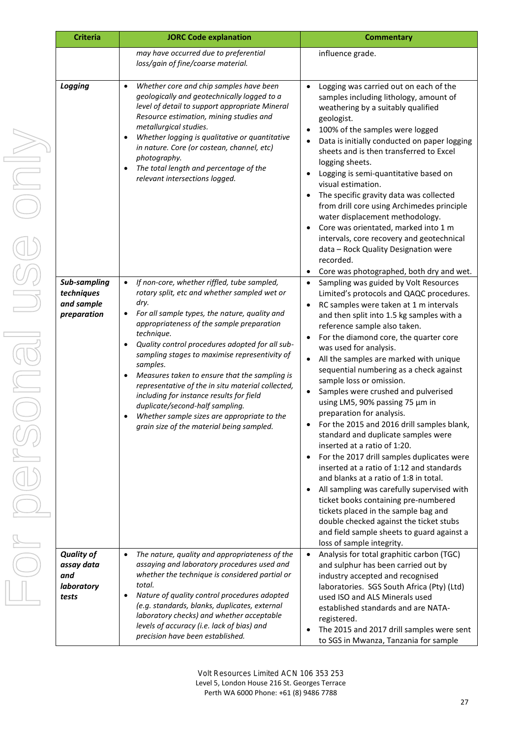| <b>Criteria</b>                                                           | <b>JORC Code explanation</b>                                                                                                                                                                                                                                                                                                                                                                                                                                                                                                                                                                                                                                                                                                                                                                                                                                                                                                                                                                                                                                                                             | <b>Commentary</b>                                                                                                                                                                                                                                                                                                                                                                                                                                                                                                                                                                                                                                                                                                                                                                                                                                                                                                                                                                                                                                                                                                                                                                                                                                                                                                                                                                                                                                                                                                                                                                                                                                                                                                             |
|---------------------------------------------------------------------------|----------------------------------------------------------------------------------------------------------------------------------------------------------------------------------------------------------------------------------------------------------------------------------------------------------------------------------------------------------------------------------------------------------------------------------------------------------------------------------------------------------------------------------------------------------------------------------------------------------------------------------------------------------------------------------------------------------------------------------------------------------------------------------------------------------------------------------------------------------------------------------------------------------------------------------------------------------------------------------------------------------------------------------------------------------------------------------------------------------|-------------------------------------------------------------------------------------------------------------------------------------------------------------------------------------------------------------------------------------------------------------------------------------------------------------------------------------------------------------------------------------------------------------------------------------------------------------------------------------------------------------------------------------------------------------------------------------------------------------------------------------------------------------------------------------------------------------------------------------------------------------------------------------------------------------------------------------------------------------------------------------------------------------------------------------------------------------------------------------------------------------------------------------------------------------------------------------------------------------------------------------------------------------------------------------------------------------------------------------------------------------------------------------------------------------------------------------------------------------------------------------------------------------------------------------------------------------------------------------------------------------------------------------------------------------------------------------------------------------------------------------------------------------------------------------------------------------------------------|
|                                                                           | may have occurred due to preferential<br>loss/gain of fine/coarse material.                                                                                                                                                                                                                                                                                                                                                                                                                                                                                                                                                                                                                                                                                                                                                                                                                                                                                                                                                                                                                              | influence grade.                                                                                                                                                                                                                                                                                                                                                                                                                                                                                                                                                                                                                                                                                                                                                                                                                                                                                                                                                                                                                                                                                                                                                                                                                                                                                                                                                                                                                                                                                                                                                                                                                                                                                                              |
| Logging<br><b>Sub-sampling</b><br>techniques<br>and sample<br>preparation | Whether core and chip samples have been<br>$\bullet$<br>geologically and geotechnically logged to a<br>level of detail to support appropriate Mineral<br>Resource estimation, mining studies and<br>metallurgical studies.<br>Whether logging is qualitative or quantitative<br>٠<br>in nature. Core (or costean, channel, etc)<br>photography.<br>The total length and percentage of the<br>$\bullet$<br>relevant intersections logged.<br>If non-core, whether riffled, tube sampled,<br>$\bullet$<br>rotary split, etc and whether sampled wet or<br>dry.<br>For all sample types, the nature, quality and<br>$\bullet$<br>appropriateness of the sample preparation<br>technique.<br>Quality control procedures adopted for all sub-<br>$\bullet$<br>sampling stages to maximise representivity of<br>samples.<br>Measures taken to ensure that the sampling is<br>٠<br>representative of the in situ material collected,<br>including for instance results for field<br>duplicate/second-half sampling.<br>Whether sample sizes are appropriate to the<br>grain size of the material being sampled. | Logging was carried out on each of the<br>$\bullet$<br>samples including lithology, amount of<br>weathering by a suitably qualified<br>geologist.<br>100% of the samples were logged<br>Data is initially conducted on paper logging<br>sheets and is then transferred to Excel<br>logging sheets.<br>Logging is semi-quantitative based on<br>visual estimation.<br>The specific gravity data was collected<br>from drill core using Archimedes principle<br>water displacement methodology.<br>Core was orientated, marked into 1 m<br>intervals, core recovery and geotechnical<br>data - Rock Quality Designation were<br>recorded.<br>Core was photographed, both dry and wet.<br>٠<br>Sampling was guided by Volt Resources<br>$\bullet$<br>Limited's protocols and QAQC procedures.<br>RC samples were taken at 1 m intervals<br>$\bullet$<br>and then split into 1.5 kg samples with a<br>reference sample also taken.<br>For the diamond core, the quarter core<br>was used for analysis.<br>All the samples are marked with unique<br>$\bullet$<br>sequential numbering as a check against<br>sample loss or omission.<br>Samples were crushed and pulverised<br>using LM5, 90% passing 75 µm in<br>preparation for analysis.<br>For the 2015 and 2016 drill samples blank,<br>٠<br>standard and duplicate samples were<br>inserted at a ratio of 1:20.<br>For the 2017 drill samples duplicates were<br>inserted at a ratio of 1:12 and standards<br>and blanks at a ratio of 1:8 in total.<br>All sampling was carefully supervised with<br>ticket books containing pre-numbered<br>tickets placed in the sample bag and<br>double checked against the ticket stubs<br>and field sample sheets to guard against a |
| <b>Quality of</b><br>assay data<br>and<br>laboratory<br>tests             | The nature, quality and appropriateness of the<br>$\bullet$<br>assaying and laboratory procedures used and<br>whether the technique is considered partial or<br>total.<br>Nature of quality control procedures adopted<br>$\bullet$<br>(e.g. standards, blanks, duplicates, external<br>laboratory checks) and whether acceptable<br>levels of accuracy (i.e. lack of bias) and<br>precision have been established.                                                                                                                                                                                                                                                                                                                                                                                                                                                                                                                                                                                                                                                                                      | loss of sample integrity.<br>Analysis for total graphitic carbon (TGC)<br>and sulphur has been carried out by<br>industry accepted and recognised<br>laboratories. SGS South Africa (Pty) (Ltd)<br>used ISO and ALS Minerals used<br>established standards and are NATA-<br>registered.<br>The 2015 and 2017 drill samples were sent<br>to SGS in Mwanza, Tanzania for sample                                                                                                                                                                                                                                                                                                                                                                                                                                                                                                                                                                                                                                                                                                                                                                                                                                                                                                                                                                                                                                                                                                                                                                                                                                                                                                                                                 |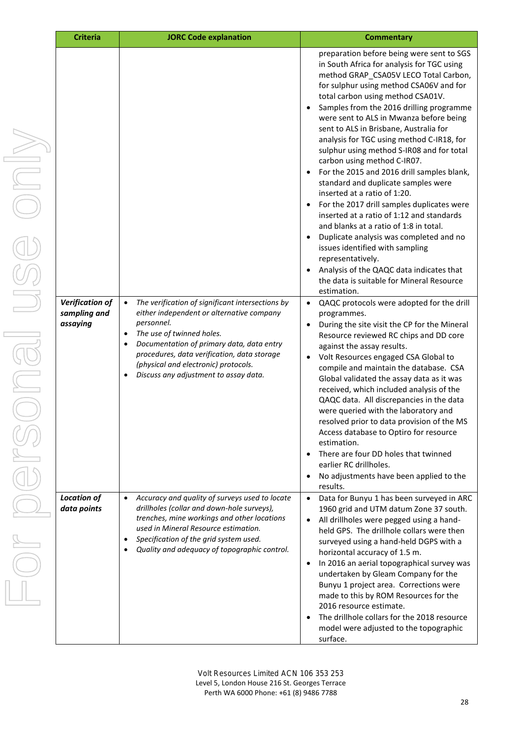| <b>Criteria</b>                                    | <b>JORC Code explanation</b>                                                                                                                                                                                                                                                                                                                                 | <b>Commentary</b>                                                                                                                                                                                                                                                                                                                                                                                                                                                                                                                                                                                                                                                                                                                                                                                                                                                                                                                               |  |
|----------------------------------------------------|--------------------------------------------------------------------------------------------------------------------------------------------------------------------------------------------------------------------------------------------------------------------------------------------------------------------------------------------------------------|-------------------------------------------------------------------------------------------------------------------------------------------------------------------------------------------------------------------------------------------------------------------------------------------------------------------------------------------------------------------------------------------------------------------------------------------------------------------------------------------------------------------------------------------------------------------------------------------------------------------------------------------------------------------------------------------------------------------------------------------------------------------------------------------------------------------------------------------------------------------------------------------------------------------------------------------------|--|
|                                                    |                                                                                                                                                                                                                                                                                                                                                              | preparation before being were sent to SGS<br>in South Africa for analysis for TGC using<br>method GRAP CSA05V LECO Total Carbon,<br>for sulphur using method CSA06V and for<br>total carbon using method CSA01V.<br>Samples from the 2016 drilling programme<br>were sent to ALS in Mwanza before being<br>sent to ALS in Brisbane, Australia for<br>analysis for TGC using method C-IR18, for<br>sulphur using method S-IR08 and for total<br>carbon using method C-IR07.<br>For the 2015 and 2016 drill samples blank,<br>standard and duplicate samples were<br>inserted at a ratio of 1:20.<br>For the 2017 drill samples duplicates were<br>inserted at a ratio of 1:12 and standards<br>and blanks at a ratio of 1:8 in total.<br>Duplicate analysis was completed and no<br>issues identified with sampling<br>representatively.<br>Analysis of the QAQC data indicates that<br>the data is suitable for Mineral Resource<br>estimation. |  |
| <b>Verification of</b><br>sampling and<br>assaying | The verification of significant intersections by<br>$\bullet$<br>either independent or alternative company<br>personnel.<br>The use of twinned holes.<br>$\bullet$<br>Documentation of primary data, data entry<br>$\bullet$<br>procedures, data verification, data storage<br>(physical and electronic) protocols.<br>Discuss any adjustment to assay data. | QAQC protocols were adopted for the drill<br>$\bullet$<br>programmes.<br>During the site visit the CP for the Mineral<br>٠<br>Resource reviewed RC chips and DD core<br>against the assay results.<br>Volt Resources engaged CSA Global to<br>compile and maintain the database. CSA<br>Global validated the assay data as it was<br>received, which included analysis of the<br>QAQC data. All discrepancies in the data<br>were queried with the laboratory and<br>resolved prior to data provision of the MS<br>Access database to Optiro for resource<br>estimation.<br>There are four DD holes that twinned<br>earlier RC drillholes.<br>No adjustments have been applied to the<br>results.                                                                                                                                                                                                                                               |  |
| <b>Location of</b><br>data points                  | Accuracy and quality of surveys used to locate<br>$\bullet$<br>drillholes (collar and down-hole surveys),<br>trenches, mine workings and other locations<br>used in Mineral Resource estimation.<br>Specification of the grid system used.<br>Quality and adequacy of topographic control.                                                                   | Data for Bunyu 1 has been surveyed in ARC<br>$\bullet$<br>1960 grid and UTM datum Zone 37 south.<br>All drillholes were pegged using a hand-<br>held GPS. The drillhole collars were then<br>surveyed using a hand-held DGPS with a<br>horizontal accuracy of 1.5 m.<br>In 2016 an aerial topographical survey was<br>$\bullet$<br>undertaken by Gleam Company for the<br>Bunyu 1 project area. Corrections were<br>made to this by ROM Resources for the<br>2016 resource estimate.<br>The drillhole collars for the 2018 resource<br>model were adjusted to the topographic<br>surface.                                                                                                                                                                                                                                                                                                                                                       |  |

28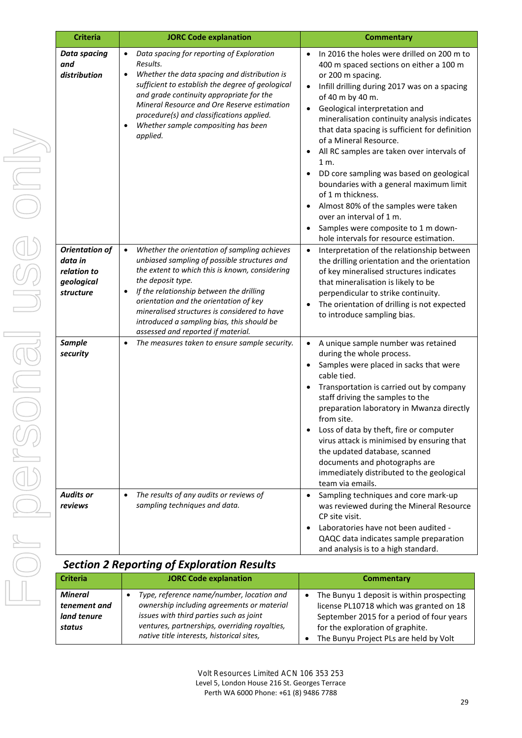| <b>Criteria</b>                                                            | <b>JORC Code explanation</b>                                                                                                                                                                                                                                                                                                                                                                                            | <b>Commentary</b>                                                                                                                                                                                                                                                                                                                                                                                                                                                                                                                                                                                                                                                   |
|----------------------------------------------------------------------------|-------------------------------------------------------------------------------------------------------------------------------------------------------------------------------------------------------------------------------------------------------------------------------------------------------------------------------------------------------------------------------------------------------------------------|---------------------------------------------------------------------------------------------------------------------------------------------------------------------------------------------------------------------------------------------------------------------------------------------------------------------------------------------------------------------------------------------------------------------------------------------------------------------------------------------------------------------------------------------------------------------------------------------------------------------------------------------------------------------|
| <b>Data spacing</b><br>and<br>distribution                                 | Data spacing for reporting of Exploration<br>Results.<br>Whether the data spacing and distribution is<br>$\bullet$<br>sufficient to establish the degree of geological<br>and grade continuity appropriate for the<br>Mineral Resource and Ore Reserve estimation<br>procedure(s) and classifications applied.<br>Whether sample compositing has been<br>applied.                                                       | In 2016 the holes were drilled on 200 m to<br>400 m spaced sections on either a 100 m<br>or 200 m spacing.<br>Infill drilling during 2017 was on a spacing<br>of 40 m by 40 m.<br>Geological interpretation and<br>mineralisation continuity analysis indicates<br>that data spacing is sufficient for definition<br>of a Mineral Resource.<br>All RC samples are taken over intervals of<br>1 m.<br>DD core sampling was based on geological<br>boundaries with a general maximum limit<br>of 1 m thickness.<br>Almost 80% of the samples were taken<br>over an interval of 1 m.<br>Samples were composite to 1 m down-<br>hole intervals for resource estimation. |
| <b>Orientation of</b><br>data in<br>relation to<br>geological<br>structure | Whether the orientation of sampling achieves<br>$\bullet$<br>unbiased sampling of possible structures and<br>the extent to which this is known, considering<br>the deposit type.<br>If the relationship between the drilling<br>$\bullet$<br>orientation and the orientation of key<br>mineralised structures is considered to have<br>introduced a sampling bias, this should be<br>assessed and reported if material. | Interpretation of the relationship between<br>$\bullet$<br>the drilling orientation and the orientation<br>of key mineralised structures indicates<br>that mineralisation is likely to be<br>perpendicular to strike continuity.<br>The orientation of drilling is not expected<br>to introduce sampling bias.                                                                                                                                                                                                                                                                                                                                                      |
| <b>Sample</b><br>security                                                  | The measures taken to ensure sample security.<br>$\bullet$                                                                                                                                                                                                                                                                                                                                                              | A unique sample number was retained<br>$\bullet$<br>during the whole process.<br>Samples were placed in sacks that were<br>cable tied.<br>Transportation is carried out by company<br>staff driving the samples to the<br>preparation laboratory in Mwanza directly<br>from site.<br>Loss of data by theft, fire or computer<br>virus attack is minimised by ensuring that<br>the updated database, scanned<br>documents and photographs are<br>immediately distributed to the geological<br>team via emails.                                                                                                                                                       |
| <b>Audits or</b><br>reviews                                                | The results of any audits or reviews of<br>$\bullet$<br>sampling techniques and data.                                                                                                                                                                                                                                                                                                                                   | Sampling techniques and core mark-up<br>was reviewed during the Mineral Resource<br>CP site visit.<br>Laboratories have not been audited -<br>QAQC data indicates sample preparation<br>and analysis is to a high standard.                                                                                                                                                                                                                                                                                                                                                                                                                                         |

### *Section 2 Reporting of Exploration Results*

| <b>Criteria</b>                                         | <b>JORC Code explanation</b>                                                                                                                                                                                                     | <b>Commentary</b>                                                                                                                                                                                                            |
|---------------------------------------------------------|----------------------------------------------------------------------------------------------------------------------------------------------------------------------------------------------------------------------------------|------------------------------------------------------------------------------------------------------------------------------------------------------------------------------------------------------------------------------|
| <b>Mineral</b><br>tenement and<br>land tenure<br>status | Type, reference name/number, location and<br>ownership including agreements or material<br>issues with third parties such as joint<br>ventures, partnerships, overriding royalties,<br>native title interests, historical sites, | The Bunyu 1 deposit is within prospecting<br>$\bullet$<br>license PL10718 which was granted on 18<br>September 2015 for a period of four years<br>for the exploration of graphite.<br>The Bunyu Project PLs are held by Volt |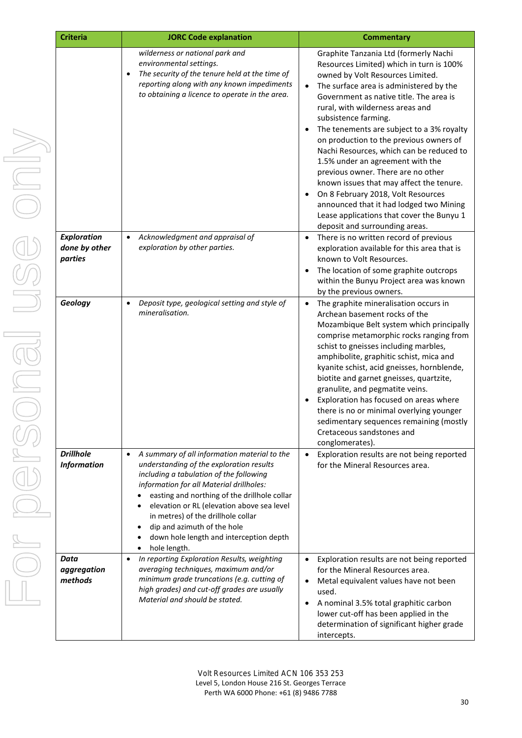| <b>Criteria</b><br><b>JORC Code explanation</b> |                                                                                                                                                                                                                                                                                                                                                                                                                                                                   | <b>Commentary</b>                                                                                                                                                                                                                                                                                                                                                                                                                                                                                                                                                                                                                                                                                              |  |
|-------------------------------------------------|-------------------------------------------------------------------------------------------------------------------------------------------------------------------------------------------------------------------------------------------------------------------------------------------------------------------------------------------------------------------------------------------------------------------------------------------------------------------|----------------------------------------------------------------------------------------------------------------------------------------------------------------------------------------------------------------------------------------------------------------------------------------------------------------------------------------------------------------------------------------------------------------------------------------------------------------------------------------------------------------------------------------------------------------------------------------------------------------------------------------------------------------------------------------------------------------|--|
|                                                 | wilderness or national park and<br>environmental settings.<br>The security of the tenure held at the time of<br>$\bullet$<br>reporting along with any known impediments<br>to obtaining a licence to operate in the area.                                                                                                                                                                                                                                         | Graphite Tanzania Ltd (formerly Nachi<br>Resources Limited) which in turn is 100%<br>owned by Volt Resources Limited.<br>The surface area is administered by the<br>$\bullet$<br>Government as native title. The area is<br>rural, with wilderness areas and<br>subsistence farming.<br>The tenements are subject to a 3% royalty<br>on production to the previous owners of<br>Nachi Resources, which can be reduced to<br>1.5% under an agreement with the<br>previous owner. There are no other<br>known issues that may affect the tenure.<br>On 8 February 2018, Volt Resources<br>announced that it had lodged two Mining<br>Lease applications that cover the Bunyu 1<br>deposit and surrounding areas. |  |
| <b>Exploration</b><br>done by other<br>parties  | Acknowledgment and appraisal of<br>$\bullet$<br>exploration by other parties.                                                                                                                                                                                                                                                                                                                                                                                     | There is no written record of previous<br>$\bullet$<br>exploration available for this area that is<br>known to Volt Resources.<br>The location of some graphite outcrops<br>within the Bunyu Project area was known<br>by the previous owners.                                                                                                                                                                                                                                                                                                                                                                                                                                                                 |  |
| Geology                                         | Deposit type, geological setting and style of<br>$\bullet$<br>mineralisation.                                                                                                                                                                                                                                                                                                                                                                                     | The graphite mineralisation occurs in<br>Archean basement rocks of the<br>Mozambique Belt system which principally<br>comprise metamorphic rocks ranging from<br>schist to gneisses including marbles,<br>amphibolite, graphitic schist, mica and<br>kyanite schist, acid gneisses, hornblende,<br>biotite and garnet gneisses, quartzite,<br>granulite, and pegmatite veins.<br>Exploration has focused on areas where<br>there is no or minimal overlying younger<br>sedimentary sequences remaining (mostly<br>Cretaceous sandstones and<br>conglomerates).                                                                                                                                                 |  |
| <b>Drillhole</b><br><b>Information</b>          | A summary of all information material to the<br>$\bullet$<br>understanding of the exploration results<br>including a tabulation of the following<br>information for all Material drillholes:<br>easting and northing of the drillhole collar<br>elevation or RL (elevation above sea level<br>$\bullet$<br>in metres) of the drillhole collar<br>dip and azimuth of the hole<br>$\bullet$<br>down hole length and interception depth<br>hole length.<br>$\bullet$ | Exploration results are not being reported<br>for the Mineral Resources area.                                                                                                                                                                                                                                                                                                                                                                                                                                                                                                                                                                                                                                  |  |
| Data<br>aggregation<br>methods                  | In reporting Exploration Results, weighting<br>$\bullet$<br>averaging techniques, maximum and/or<br>minimum grade truncations (e.g. cutting of<br>high grades) and cut-off grades are usually<br>Material and should be stated.                                                                                                                                                                                                                                   | Exploration results are not being reported<br>$\bullet$<br>for the Mineral Resources area.<br>Metal equivalent values have not been<br>used.<br>A nominal 3.5% total graphitic carbon<br>lower cut-off has been applied in the<br>determination of significant higher grade<br>intercepts.                                                                                                                                                                                                                                                                                                                                                                                                                     |  |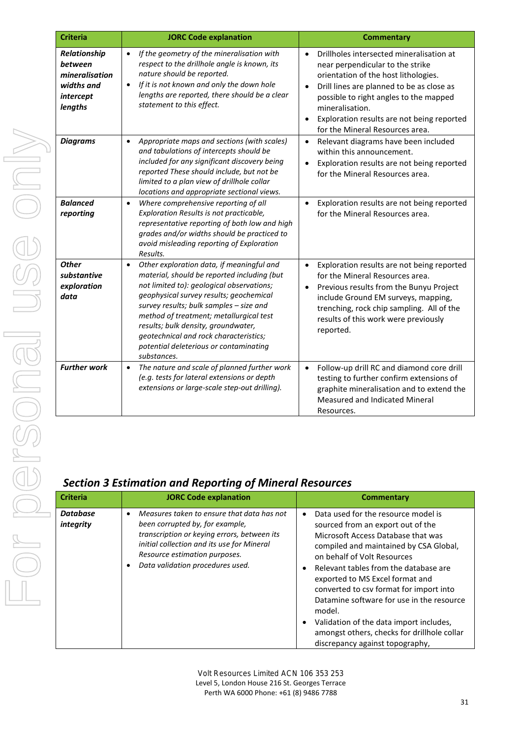| <b>Criteria</b>                                                                 | <b>JORC Code explanation</b>                                                                                                                                                                                                                                                                                                                                                                                                  | <b>Commentary</b>                                                                                                                                                                                                                                                                                             |
|---------------------------------------------------------------------------------|-------------------------------------------------------------------------------------------------------------------------------------------------------------------------------------------------------------------------------------------------------------------------------------------------------------------------------------------------------------------------------------------------------------------------------|---------------------------------------------------------------------------------------------------------------------------------------------------------------------------------------------------------------------------------------------------------------------------------------------------------------|
| Relationship<br>between<br>mineralisation<br>widths and<br>intercept<br>lengths | If the geometry of the mineralisation with<br>$\bullet$<br>respect to the drillhole angle is known, its<br>nature should be reported.<br>If it is not known and only the down hole<br>$\bullet$<br>lengths are reported, there should be a clear<br>statement to this effect.                                                                                                                                                 | Drillholes intersected mineralisation at<br>near perpendicular to the strike<br>orientation of the host lithologies.<br>Drill lines are planned to be as close as<br>possible to right angles to the mapped<br>mineralisation.<br>Exploration results are not being report<br>for the Mineral Resources area. |
| <b>Diagrams</b>                                                                 | Appropriate maps and sections (with scales)<br>$\bullet$<br>and tabulations of intercepts should be<br>included for any significant discovery being<br>reported These should include, but not be<br>limited to a plan view of drillhole collar<br>locations and appropriate sectional views.                                                                                                                                  | Relevant diagrams have been included<br>$\bullet$<br>within this announcement.<br>Exploration results are not being report<br>for the Mineral Resources area.                                                                                                                                                 |
| <b>Balanced</b><br>reporting                                                    | Where comprehensive reporting of all<br>$\bullet$<br>Exploration Results is not practicable,<br>representative reporting of both low and high<br>grades and/or widths should be practiced to<br>avoid misleading reporting of Exploration<br>Results.                                                                                                                                                                         | Exploration results are not being report<br>for the Mineral Resources area.                                                                                                                                                                                                                                   |
| <b>Other</b><br>substantive<br>exploration<br>data                              | Other exploration data, if meaningful and<br>$\bullet$<br>material, should be reported including (but<br>not limited to): geological observations;<br>geophysical survey results; geochemical<br>survey results; bulk samples - size and<br>method of treatment; metallurgical test<br>results; bulk density, groundwater,<br>geotechnical and rock characteristics;<br>potential deleterious or contaminating<br>substances. | Exploration results are not being report<br>$\bullet$<br>for the Mineral Resources area.<br>Previous results from the Bunyu Project<br>include Ground EM surveys, mapping,<br>trenching, rock chip sampling. All of the<br>results of this work were previously<br>reported.                                  |
| <b>Further work</b>                                                             | The nature and scale of planned further work<br>$\bullet$<br>(e.g. tests for lateral extensions or depth<br>extensions or large-scale step-out drilling).                                                                                                                                                                                                                                                                     | Follow-up drill RC and diamond core dr<br>$\bullet$<br>testing to further confirm extensions of<br>graphite mineralisation and to extend t<br>Measured and Indicated Mineral<br>Resources.                                                                                                                    |
|                                                                                 | <b>Section 3 Estimation and Reporting of Mineral Resources</b>                                                                                                                                                                                                                                                                                                                                                                |                                                                                                                                                                                                                                                                                                               |
| <b>Criteria</b>                                                                 | <b>JORC Code explanation</b>                                                                                                                                                                                                                                                                                                                                                                                                  | <b>Commentary</b>                                                                                                                                                                                                                                                                                             |
| <b>Database</b><br>integrity                                                    | Measures taken to ensure that data has not<br>$\bullet$<br>been corrupted by, for example,                                                                                                                                                                                                                                                                                                                                    | Data used for the resource model is<br>$\bullet$<br>sourced from an export out of the                                                                                                                                                                                                                         |

| <b>tercept</b><br>ngths                 | lengths are reported, there should be a clear<br>statement to this effect.                                                                                                                                                                                                                                                                                                                                                    | possible to right angles to the mapped<br>mineralisation.<br>Exploration results are not being reported<br>$\bullet$<br>for the Mineral Resources area.                                                                                                                                     |
|-----------------------------------------|-------------------------------------------------------------------------------------------------------------------------------------------------------------------------------------------------------------------------------------------------------------------------------------------------------------------------------------------------------------------------------------------------------------------------------|---------------------------------------------------------------------------------------------------------------------------------------------------------------------------------------------------------------------------------------------------------------------------------------------|
| iagrams                                 | Appropriate maps and sections (with scales)<br>$\bullet$<br>and tabulations of intercepts should be<br>included for any significant discovery being<br>reported These should include, but not be<br>limited to a plan view of drillhole collar<br>locations and appropriate sectional views.                                                                                                                                  | Relevant diagrams have been included<br>$\bullet$<br>within this announcement.<br>Exploration results are not being reported<br>$\bullet$<br>for the Mineral Resources area.                                                                                                                |
| alanced<br>porting?                     | Where comprehensive reporting of all<br>$\bullet$<br>Exploration Results is not practicable,<br>representative reporting of both low and high<br>grades and/or widths should be practiced to<br>avoid misleading reporting of Exploration<br>Results.                                                                                                                                                                         | Exploration results are not being reported<br>$\bullet$<br>for the Mineral Resources area.                                                                                                                                                                                                  |
| ther<br>ubstantive<br>xploration<br>ata | Other exploration data, if meaningful and<br>$\bullet$<br>material, should be reported including (but<br>not limited to): geological observations;<br>geophysical survey results; geochemical<br>survey results; bulk samples - size and<br>method of treatment; metallurgical test<br>results; bulk density, groundwater,<br>geotechnical and rock characteristics;<br>potential deleterious or contaminating<br>substances. | Exploration results are not being reported<br>$\bullet$<br>for the Mineral Resources area.<br>Previous results from the Bunyu Project<br>$\bullet$<br>include Ground EM surveys, mapping,<br>trenching, rock chip sampling. All of the<br>results of this work were previously<br>reported. |
| urther work                             | The nature and scale of planned further work<br>$\bullet$<br>(e.g. tests for lateral extensions or depth<br>extensions or large-scale step-out drilling).                                                                                                                                                                                                                                                                     | Follow-up drill RC and diamond core drill<br>$\bullet$<br>testing to further confirm extensions of<br>graphite mineralisation and to extend the<br>Measured and Indicated Mineral<br>Resources.                                                                                             |
|                                         |                                                                                                                                                                                                                                                                                                                                                                                                                               |                                                                                                                                                                                                                                                                                             |

# *Section 3 Estimation and Reporting of Mineral Resources*

| <b>Criteria</b>              | <b>JORC Code explanation</b>                                                                                                                                                                                                                              | Commentary                                                                                                                                                                                                                                                                                                                                                                                                                                                                                         |
|------------------------------|-----------------------------------------------------------------------------------------------------------------------------------------------------------------------------------------------------------------------------------------------------------|----------------------------------------------------------------------------------------------------------------------------------------------------------------------------------------------------------------------------------------------------------------------------------------------------------------------------------------------------------------------------------------------------------------------------------------------------------------------------------------------------|
| <b>Database</b><br>integrity | Measures taken to ensure that data has not<br>٠<br>been corrupted by, for example,<br>transcription or keying errors, between its<br>initial collection and its use for Mineral<br>Resource estimation purposes.<br>Data validation procedures used.<br>٠ | Data used for the resource model is<br>sourced from an export out of the<br>Microsoft Access Database that was<br>compiled and maintained by CSA Global,<br>on behalf of Volt Resources<br>Relevant tables from the database are<br>exported to MS Excel format and<br>converted to csv format for import into<br>Datamine software for use in the resource<br>model.<br>Validation of the data import includes.<br>amongst others, checks for drillhole collar<br>discrepancy against topography, |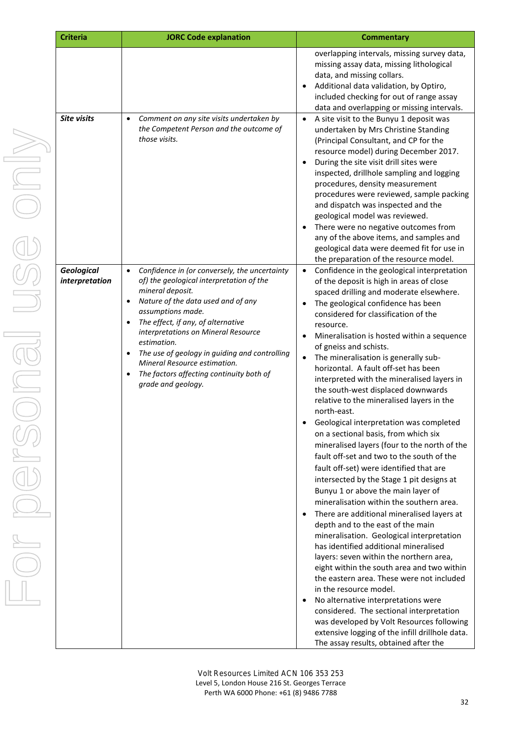| <b>Criteria</b>                     | <b>JORC Code explanation</b>                                                                                                                                                                                                                                                                                                                                                                                                                                   | <b>Commentary</b>                                                                                                                                                                                                                                                                                                                                                                                                                                                                                                                                                                                                                                                                                                                                                                                                                                                                                                                                                                                                                                                                                                                                                                                                                                                                                                                                                                                                                                                                              |
|-------------------------------------|----------------------------------------------------------------------------------------------------------------------------------------------------------------------------------------------------------------------------------------------------------------------------------------------------------------------------------------------------------------------------------------------------------------------------------------------------------------|------------------------------------------------------------------------------------------------------------------------------------------------------------------------------------------------------------------------------------------------------------------------------------------------------------------------------------------------------------------------------------------------------------------------------------------------------------------------------------------------------------------------------------------------------------------------------------------------------------------------------------------------------------------------------------------------------------------------------------------------------------------------------------------------------------------------------------------------------------------------------------------------------------------------------------------------------------------------------------------------------------------------------------------------------------------------------------------------------------------------------------------------------------------------------------------------------------------------------------------------------------------------------------------------------------------------------------------------------------------------------------------------------------------------------------------------------------------------------------------------|
|                                     |                                                                                                                                                                                                                                                                                                                                                                                                                                                                | overlapping intervals, missing survey data,<br>missing assay data, missing lithological<br>data, and missing collars.<br>Additional data validation, by Optiro,<br>included checking for out of range assay<br>data and overlapping or missing intervals.                                                                                                                                                                                                                                                                                                                                                                                                                                                                                                                                                                                                                                                                                                                                                                                                                                                                                                                                                                                                                                                                                                                                                                                                                                      |
| <b>Site visits</b>                  | Comment on any site visits undertaken by<br>$\bullet$<br>the Competent Person and the outcome of<br>those visits.                                                                                                                                                                                                                                                                                                                                              | A site visit to the Bunyu 1 deposit was<br>$\bullet$<br>undertaken by Mrs Christine Standing<br>(Principal Consultant, and CP for the<br>resource model) during December 2017.<br>During the site visit drill sites were<br>inspected, drillhole sampling and logging<br>procedures, density measurement<br>procedures were reviewed, sample packing<br>and dispatch was inspected and the<br>geological model was reviewed.<br>There were no negative outcomes from<br>any of the above items, and samples and<br>geological data were deemed fit for use in<br>the preparation of the resource model.                                                                                                                                                                                                                                                                                                                                                                                                                                                                                                                                                                                                                                                                                                                                                                                                                                                                                        |
| <b>Geological</b><br>interpretation | Confidence in (or conversely, the uncertainty<br>$\bullet$<br>of) the geological interpretation of the<br>mineral deposit.<br>Nature of the data used and of any<br>$\bullet$<br>assumptions made.<br>The effect, if any, of alternative<br>interpretations on Mineral Resource<br>estimation.<br>The use of geology in guiding and controlling<br>$\bullet$<br>Mineral Resource estimation.<br>The factors affecting continuity both of<br>grade and geology. | Confidence in the geological interpretation<br>$\bullet$<br>of the deposit is high in areas of close<br>spaced drilling and moderate elsewhere.<br>The geological confidence has been<br>considered for classification of the<br>resource.<br>Mineralisation is hosted within a sequence<br>of gneiss and schists.<br>The mineralisation is generally sub-<br>$\bullet$<br>horizontal. A fault off-set has been<br>interpreted with the mineralised layers in<br>the south-west displaced downwards<br>relative to the mineralised layers in the<br>north-east.<br>Geological interpretation was completed<br>on a sectional basis, from which six<br>mineralised layers (four to the north of the<br>fault off-set and two to the south of the<br>fault off-set) were identified that are<br>intersected by the Stage 1 pit designs at<br>Bunyu 1 or above the main layer of<br>mineralisation within the southern area.<br>There are additional mineralised layers at<br>depth and to the east of the main<br>mineralisation. Geological interpretation<br>has identified additional mineralised<br>layers: seven within the northern area,<br>eight within the south area and two within<br>the eastern area. These were not included<br>in the resource model.<br>No alternative interpretations were<br>considered. The sectional interpretation<br>was developed by Volt Resources following<br>extensive logging of the infill drillhole data.<br>The assay results, obtained after the |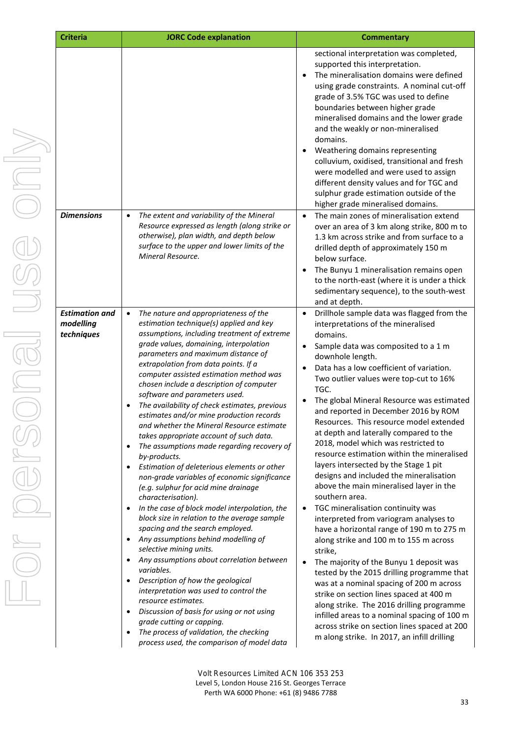| <b>Criteria</b>                                  | <b>JORC Code explanation</b>                                                                                                                                                                                                                                                                                                                                                                                                                                                                                                                                                                                                                                                                                                                                                                                                                                                                                                                                                                                                                                                                                                                                                                                                                                                                                                                             | <b>Commentary</b>                                                                                                                                                                                                                                                                                                                                                                                                                                                                                                                                                                                                                                                                                                                                                                                                                                                                                                                                                                                                                                                                                                                                                                                                                                                                                                 |
|--------------------------------------------------|----------------------------------------------------------------------------------------------------------------------------------------------------------------------------------------------------------------------------------------------------------------------------------------------------------------------------------------------------------------------------------------------------------------------------------------------------------------------------------------------------------------------------------------------------------------------------------------------------------------------------------------------------------------------------------------------------------------------------------------------------------------------------------------------------------------------------------------------------------------------------------------------------------------------------------------------------------------------------------------------------------------------------------------------------------------------------------------------------------------------------------------------------------------------------------------------------------------------------------------------------------------------------------------------------------------------------------------------------------|-------------------------------------------------------------------------------------------------------------------------------------------------------------------------------------------------------------------------------------------------------------------------------------------------------------------------------------------------------------------------------------------------------------------------------------------------------------------------------------------------------------------------------------------------------------------------------------------------------------------------------------------------------------------------------------------------------------------------------------------------------------------------------------------------------------------------------------------------------------------------------------------------------------------------------------------------------------------------------------------------------------------------------------------------------------------------------------------------------------------------------------------------------------------------------------------------------------------------------------------------------------------------------------------------------------------|
|                                                  |                                                                                                                                                                                                                                                                                                                                                                                                                                                                                                                                                                                                                                                                                                                                                                                                                                                                                                                                                                                                                                                                                                                                                                                                                                                                                                                                                          | sectional interpretation was completed,<br>supported this interpretation.<br>The mineralisation domains were defined<br>using grade constraints. A nominal cut-off<br>grade of 3.5% TGC was used to define<br>boundaries between higher grade<br>mineralised domains and the lower grade<br>and the weakly or non-mineralised<br>domains.<br>Weathering domains representing<br>٠<br>colluvium, oxidised, transitional and fresh<br>were modelled and were used to assign<br>different density values and for TGC and<br>sulphur grade estimation outside of the<br>higher grade mineralised domains.                                                                                                                                                                                                                                                                                                                                                                                                                                                                                                                                                                                                                                                                                                             |
| <b>Dimensions</b>                                | The extent and variability of the Mineral<br>$\bullet$<br>Resource expressed as length (along strike or<br>otherwise), plan width, and depth below<br>surface to the upper and lower limits of the<br>Mineral Resource.                                                                                                                                                                                                                                                                                                                                                                                                                                                                                                                                                                                                                                                                                                                                                                                                                                                                                                                                                                                                                                                                                                                                  | The main zones of mineralisation extend<br>$\bullet$<br>over an area of 3 km along strike, 800 m to<br>1.3 km across strike and from surface to a<br>drilled depth of approximately 150 m<br>below surface.<br>The Bunyu 1 mineralisation remains open<br>$\bullet$<br>to the north-east (where it is under a thick<br>sedimentary sequence), to the south-west<br>and at depth.                                                                                                                                                                                                                                                                                                                                                                                                                                                                                                                                                                                                                                                                                                                                                                                                                                                                                                                                  |
| <b>Estimation and</b><br>modelling<br>techniques | The nature and appropriateness of the<br>$\bullet$<br>estimation technique(s) applied and key<br>assumptions, including treatment of extreme<br>grade values, domaining, interpolation<br>parameters and maximum distance of<br>extrapolation from data points. If a<br>computer assisted estimation method was<br>chosen include a description of computer<br>software and parameters used.<br>The availability of check estimates, previous<br>estimates and/or mine production records<br>and whether the Mineral Resource estimate<br>takes appropriate account of such data.<br>The assumptions made regarding recovery of<br>by-products.<br>Estimation of deleterious elements or other<br>non-grade variables of economic significance<br>(e.g. sulphur for acid mine drainage<br>characterisation).<br>In the case of block model interpolation, the<br>block size in relation to the average sample<br>spacing and the search employed.<br>Any assumptions behind modelling of<br>selective mining units.<br>Any assumptions about correlation between<br>variables.<br>Description of how the geological<br>interpretation was used to control the<br>resource estimates.<br>Discussion of basis for using or not using<br>grade cutting or capping.<br>The process of validation, the checking<br>process used, the comparison of model data | Drillhole sample data was flagged from the<br>$\bullet$<br>interpretations of the mineralised<br>domains.<br>Sample data was composited to a 1 m<br>$\bullet$<br>downhole length.<br>Data has a low coefficient of variation.<br>$\bullet$<br>Two outlier values were top-cut to 16%<br>TGC.<br>The global Mineral Resource was estimated<br>$\bullet$<br>and reported in December 2016 by ROM<br>Resources. This resource model extended.<br>at depth and laterally compared to the<br>2018, model which was restricted to<br>resource estimation within the mineralised<br>layers intersected by the Stage 1 pit<br>designs and included the mineralisation<br>above the main mineralised layer in the<br>southern area.<br>TGC mineralisation continuity was<br>$\bullet$<br>interpreted from variogram analyses to<br>have a horizontal range of 190 m to 275 m<br>along strike and 100 m to 155 m across<br>strike,<br>The majority of the Bunyu 1 deposit was<br>$\bullet$<br>tested by the 2015 drilling programme that<br>was at a nominal spacing of 200 m across<br>strike on section lines spaced at 400 m<br>along strike. The 2016 drilling programme<br>infilled areas to a nominal spacing of 100 m<br>across strike on section lines spaced at 200<br>m along strike. In 2017, an infill drilling |

USC ONV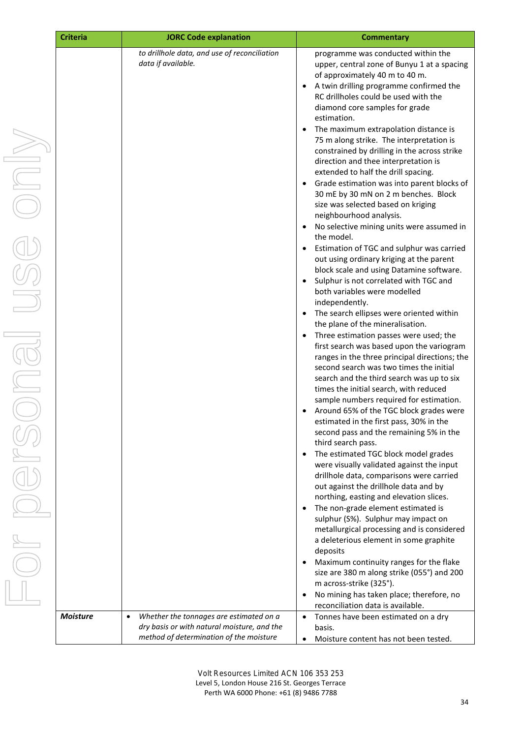| <b>Criteria</b> | <b>JORC Code explanation</b>                                                                                                                   | <b>Commentary</b>                                                                                                                                                                                                                                                                                                                                                                                                                                                                                                                                                                                                                                                                                                                                                                                                                                                                                                                                                                                                                                                                                                                                                                                                                                                                                                                                                                                                                                                                                                                                                                                                                                                                                                                                                                                                                                                                                                                                                                                                                                                                                                                                      |
|-----------------|------------------------------------------------------------------------------------------------------------------------------------------------|--------------------------------------------------------------------------------------------------------------------------------------------------------------------------------------------------------------------------------------------------------------------------------------------------------------------------------------------------------------------------------------------------------------------------------------------------------------------------------------------------------------------------------------------------------------------------------------------------------------------------------------------------------------------------------------------------------------------------------------------------------------------------------------------------------------------------------------------------------------------------------------------------------------------------------------------------------------------------------------------------------------------------------------------------------------------------------------------------------------------------------------------------------------------------------------------------------------------------------------------------------------------------------------------------------------------------------------------------------------------------------------------------------------------------------------------------------------------------------------------------------------------------------------------------------------------------------------------------------------------------------------------------------------------------------------------------------------------------------------------------------------------------------------------------------------------------------------------------------------------------------------------------------------------------------------------------------------------------------------------------------------------------------------------------------------------------------------------------------------------------------------------------------|
|                 | to drillhole data, and use of reconciliation<br>data if available.                                                                             | programme was conducted within the<br>upper, central zone of Bunyu 1 at a spacing<br>of approximately 40 m to 40 m.<br>A twin drilling programme confirmed the<br>$\bullet$<br>RC drillholes could be used with the<br>diamond core samples for grade<br>estimation.<br>The maximum extrapolation distance is<br>$\bullet$<br>75 m along strike. The interpretation is<br>constrained by drilling in the across strike<br>direction and thee interpretation is<br>extended to half the drill spacing.<br>Grade estimation was into parent blocks of<br>$\bullet$<br>30 mE by 30 mN on 2 m benches. Block<br>size was selected based on kriging<br>neighbourhood analysis.<br>No selective mining units were assumed in<br>$\bullet$<br>the model.<br>Estimation of TGC and sulphur was carried<br>$\bullet$<br>out using ordinary kriging at the parent<br>block scale and using Datamine software.<br>Sulphur is not correlated with TGC and<br>both variables were modelled<br>independently.<br>The search ellipses were oriented within<br>$\bullet$<br>the plane of the mineralisation.<br>Three estimation passes were used; the<br>$\bullet$<br>first search was based upon the variogram<br>ranges in the three principal directions; the<br>second search was two times the initial<br>search and the third search was up to six<br>times the initial search, with reduced<br>sample numbers required for estimation.<br>Around 65% of the TGC block grades were<br>estimated in the first pass, 30% in the<br>second pass and the remaining 5% in the<br>third search pass.<br>The estimated TGC block model grades<br>$\bullet$<br>were visually validated against the input<br>drillhole data, comparisons were carried<br>out against the drillhole data and by<br>northing, easting and elevation slices.<br>The non-grade element estimated is<br>$\bullet$<br>sulphur (S%). Sulphur may impact on<br>metallurgical processing and is considered<br>a deleterious element in some graphite<br>deposits<br>Maximum continuity ranges for the flake<br>$\bullet$<br>size are 380 m along strike (055°) and 200<br>m across-strike (325°). |
|                 |                                                                                                                                                | No mining has taken place; therefore, no<br>$\bullet$<br>reconciliation data is available.                                                                                                                                                                                                                                                                                                                                                                                                                                                                                                                                                                                                                                                                                                                                                                                                                                                                                                                                                                                                                                                                                                                                                                                                                                                                                                                                                                                                                                                                                                                                                                                                                                                                                                                                                                                                                                                                                                                                                                                                                                                             |
| <b>Moisture</b> | Whether the tonnages are estimated on a<br>$\bullet$<br>dry basis or with natural moisture, and the<br>method of determination of the moisture | Tonnes have been estimated on a dry<br>$\bullet$<br>basis.<br>Moisture content has not been tested.                                                                                                                                                                                                                                                                                                                                                                                                                                                                                                                                                                                                                                                                                                                                                                                                                                                                                                                                                                                                                                                                                                                                                                                                                                                                                                                                                                                                                                                                                                                                                                                                                                                                                                                                                                                                                                                                                                                                                                                                                                                    |

Volt Resources Limited ACN 106 353 253 Level 5, London House 216 St. Georges Terrace Perth WA 6000 Phone: +61 (8) 9486 7788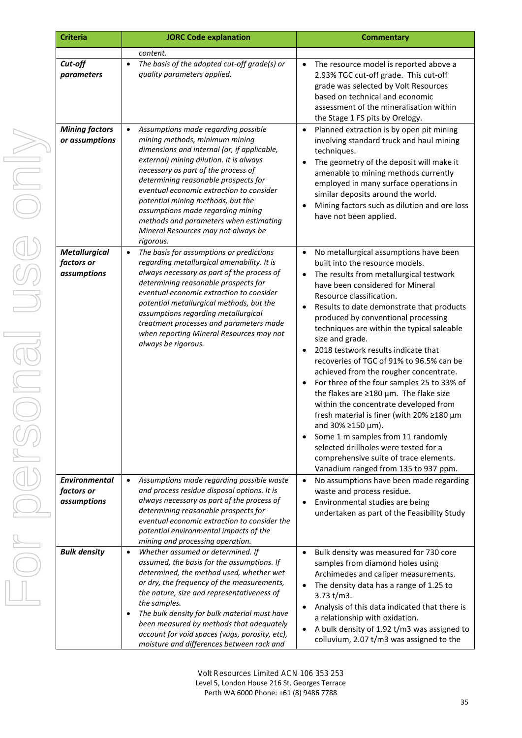| <b>Criteria</b>                                   | <b>JORC Code explanation</b>                                                                                                                                                                                                                                                                                                                                                                                                                                                    | <b>Commentary</b>                                                                                                                                                                                                                                                                                                                                                                                                                                                                                                                                                                                                                                                                                                                                                                                                                                                                                               |
|---------------------------------------------------|---------------------------------------------------------------------------------------------------------------------------------------------------------------------------------------------------------------------------------------------------------------------------------------------------------------------------------------------------------------------------------------------------------------------------------------------------------------------------------|-----------------------------------------------------------------------------------------------------------------------------------------------------------------------------------------------------------------------------------------------------------------------------------------------------------------------------------------------------------------------------------------------------------------------------------------------------------------------------------------------------------------------------------------------------------------------------------------------------------------------------------------------------------------------------------------------------------------------------------------------------------------------------------------------------------------------------------------------------------------------------------------------------------------|
|                                                   | content.                                                                                                                                                                                                                                                                                                                                                                                                                                                                        |                                                                                                                                                                                                                                                                                                                                                                                                                                                                                                                                                                                                                                                                                                                                                                                                                                                                                                                 |
| Cut-off<br>parameters                             | The basis of the adopted cut-off grade(s) or<br>$\bullet$<br>quality parameters applied.                                                                                                                                                                                                                                                                                                                                                                                        | The resource model is reported above a<br>$\bullet$<br>2.93% TGC cut-off grade. This cut-off<br>grade was selected by Volt Resources<br>based on technical and economic<br>assessment of the mineralisation within<br>the Stage 1 FS pits by Orelogy.                                                                                                                                                                                                                                                                                                                                                                                                                                                                                                                                                                                                                                                           |
| <b>Mining factors</b><br>or assumptions           | Assumptions made regarding possible<br>$\bullet$<br>mining methods, minimum mining<br>dimensions and internal (or, if applicable,<br>external) mining dilution. It is always<br>necessary as part of the process of<br>determining reasonable prospects for<br>eventual economic extraction to consider<br>potential mining methods, but the<br>assumptions made regarding mining<br>methods and parameters when estimating<br>Mineral Resources may not always be<br>rigorous. | Planned extraction is by open pit mining<br>$\bullet$<br>involving standard truck and haul mining<br>techniques.<br>The geometry of the deposit will make it<br>amenable to mining methods currently<br>employed in many surface operations in<br>similar deposits around the world.<br>Mining factors such as dilution and ore loss<br>have not been applied.                                                                                                                                                                                                                                                                                                                                                                                                                                                                                                                                                  |
| <b>Metallurgical</b><br>factors or<br>assumptions | The basis for assumptions or predictions<br>$\bullet$<br>regarding metallurgical amenability. It is<br>always necessary as part of the process of<br>determining reasonable prospects for<br>eventual economic extraction to consider<br>potential metallurgical methods, but the<br>assumptions regarding metallurgical<br>treatment processes and parameters made<br>when reporting Mineral Resources may not<br>always be rigorous.                                          | No metallurgical assumptions have been<br>$\bullet$<br>built into the resource models.<br>The results from metallurgical testwork<br>$\bullet$<br>have been considered for Mineral<br>Resource classification.<br>Results to date demonstrate that products<br>$\bullet$<br>produced by conventional processing<br>techniques are within the typical saleable<br>size and grade.<br>2018 testwork results indicate that<br>$\bullet$<br>recoveries of TGC of 91% to 96.5% can be<br>achieved from the rougher concentrate.<br>For three of the four samples 25 to 33% of<br>the flakes are $\geq$ 180 µm. The flake size<br>within the concentrate developed from<br>fresh material is finer (with 20% ≥180 µm<br>and $30\% \ge 150 \,\mu m$ ).<br>Some 1 m samples from 11 randomly<br>selected drillholes were tested for a<br>comprehensive suite of trace elements.<br>Vanadium ranged from 135 to 937 ppm. |
| <b>Environmental</b><br>factors or<br>assumptions | Assumptions made regarding possible waste<br>$\bullet$<br>and process residue disposal options. It is<br>always necessary as part of the process of<br>determining reasonable prospects for<br>eventual economic extraction to consider the<br>potential environmental impacts of the<br>mining and processing operation.                                                                                                                                                       | No assumptions have been made regarding<br>$\bullet$<br>waste and process residue.<br>Environmental studies are being<br>undertaken as part of the Feasibility Study                                                                                                                                                                                                                                                                                                                                                                                                                                                                                                                                                                                                                                                                                                                                            |
| <b>Bulk density</b>                               | Whether assumed or determined. If<br>$\bullet$<br>assumed, the basis for the assumptions. If<br>determined, the method used, whether wet<br>or dry, the frequency of the measurements,<br>the nature, size and representativeness of<br>the samples.<br>The bulk density for bulk material must have<br>٠<br>been measured by methods that adequately<br>account for void spaces (vugs, porosity, etc),<br>moisture and differences between rock and                            | Bulk density was measured for 730 core<br>$\bullet$<br>samples from diamond holes using<br>Archimedes and caliper measurements.<br>The density data has a range of 1.25 to<br>3.73 t/m3.<br>Analysis of this data indicated that there is<br>$\bullet$<br>a relationship with oxidation.<br>A bulk density of 1.92 t/m3 was assigned to<br>$\bullet$<br>colluvium, 2.07 t/m3 was assigned to the                                                                                                                                                                                                                                                                                                                                                                                                                                                                                                                |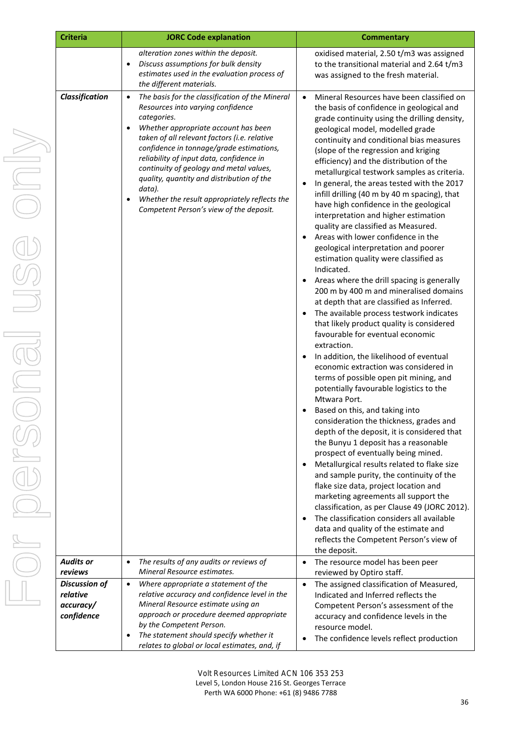| <b>Criteria</b><br><b>JORC Code explanation</b>             |                                                                                                                                                                                                                                                                                                                                                                                                                                                                                                | <b>Commentary</b>                                                                                                                                                                                                                                                                                                                                                                                                                                                                                                                                                                                                                                                                                                                                                                                                                                                                                                                                                                                                                                                                                                                                                                                                                                                                                                                                                                                                                                                                                                                                                                                                                                                                                                                                                                                                                                                     |  |  |
|-------------------------------------------------------------|------------------------------------------------------------------------------------------------------------------------------------------------------------------------------------------------------------------------------------------------------------------------------------------------------------------------------------------------------------------------------------------------------------------------------------------------------------------------------------------------|-----------------------------------------------------------------------------------------------------------------------------------------------------------------------------------------------------------------------------------------------------------------------------------------------------------------------------------------------------------------------------------------------------------------------------------------------------------------------------------------------------------------------------------------------------------------------------------------------------------------------------------------------------------------------------------------------------------------------------------------------------------------------------------------------------------------------------------------------------------------------------------------------------------------------------------------------------------------------------------------------------------------------------------------------------------------------------------------------------------------------------------------------------------------------------------------------------------------------------------------------------------------------------------------------------------------------------------------------------------------------------------------------------------------------------------------------------------------------------------------------------------------------------------------------------------------------------------------------------------------------------------------------------------------------------------------------------------------------------------------------------------------------------------------------------------------------------------------------------------------------|--|--|
|                                                             | alteration zones within the deposit.<br>Discuss assumptions for bulk density<br>$\bullet$<br>estimates used in the evaluation process of<br>the different materials.                                                                                                                                                                                                                                                                                                                           | oxidised material, 2.50 t/m3 was assigned<br>to the transitional material and 2.64 t/m3<br>was assigned to the fresh material.                                                                                                                                                                                                                                                                                                                                                                                                                                                                                                                                                                                                                                                                                                                                                                                                                                                                                                                                                                                                                                                                                                                                                                                                                                                                                                                                                                                                                                                                                                                                                                                                                                                                                                                                        |  |  |
| Classification                                              | The basis for the classification of the Mineral<br>$\bullet$<br>Resources into varying confidence<br>categories.<br>Whether appropriate account has been<br>taken of all relevant factors (i.e. relative<br>confidence in tonnage/grade estimations,<br>reliability of input data, confidence in<br>continuity of geology and metal values,<br>quality, quantity and distribution of the<br>data).<br>Whether the result appropriately reflects the<br>Competent Person's view of the deposit. | Mineral Resources have been classified on<br>$\bullet$<br>the basis of confidence in geological and<br>grade continuity using the drilling density,<br>geological model, modelled grade<br>continuity and conditional bias measures<br>(slope of the regression and kriging<br>efficiency) and the distribution of the<br>metallurgical testwork samples as criteria.<br>In general, the areas tested with the 2017<br>$\bullet$<br>infill drilling (40 m by 40 m spacing), that<br>have high confidence in the geological<br>interpretation and higher estimation<br>quality are classified as Measured.<br>Areas with lower confidence in the<br>geological interpretation and poorer<br>estimation quality were classified as<br>Indicated.<br>Areas where the drill spacing is generally<br>200 m by 400 m and mineralised domains<br>at depth that are classified as Inferred.<br>The available process testwork indicates<br>$\bullet$<br>that likely product quality is considered<br>favourable for eventual economic<br>extraction.<br>In addition, the likelihood of eventual<br>$\bullet$<br>economic extraction was considered in<br>terms of possible open pit mining, and<br>potentially favourable logistics to the<br>Mtwara Port.<br>Based on this, and taking into<br>consideration the thickness, grades and<br>depth of the deposit, it is considered that<br>the Bunyu 1 deposit has a reasonable<br>prospect of eventually being mined.<br>Metallurgical results related to flake size<br>$\bullet$<br>and sample purity, the continuity of the<br>flake size data, project location and<br>marketing agreements all support the<br>classification, as per Clause 49 (JORC 2012).<br>The classification considers all available<br>$\bullet$<br>data and quality of the estimate and<br>reflects the Competent Person's view of<br>the deposit. |  |  |
| <b>Audits or</b><br>reviews                                 | The results of any audits or reviews of<br>$\bullet$<br>Mineral Resource estimates.                                                                                                                                                                                                                                                                                                                                                                                                            | The resource model has been peer<br>$\bullet$<br>reviewed by Optiro staff.                                                                                                                                                                                                                                                                                                                                                                                                                                                                                                                                                                                                                                                                                                                                                                                                                                                                                                                                                                                                                                                                                                                                                                                                                                                                                                                                                                                                                                                                                                                                                                                                                                                                                                                                                                                            |  |  |
| <b>Discussion of</b><br>relative<br>accuracy/<br>confidence | Where appropriate a statement of the<br>$\bullet$<br>relative accuracy and confidence level in the<br>Mineral Resource estimate using an<br>approach or procedure deemed appropriate<br>by the Competent Person.<br>The statement should specify whether it<br>$\bullet$<br>relates to global or local estimates, and, if                                                                                                                                                                      | The assigned classification of Measured,<br>$\bullet$<br>Indicated and Inferred reflects the<br>Competent Person's assessment of the<br>accuracy and confidence levels in the<br>resource model.<br>The confidence levels reflect production                                                                                                                                                                                                                                                                                                                                                                                                                                                                                                                                                                                                                                                                                                                                                                                                                                                                                                                                                                                                                                                                                                                                                                                                                                                                                                                                                                                                                                                                                                                                                                                                                          |  |  |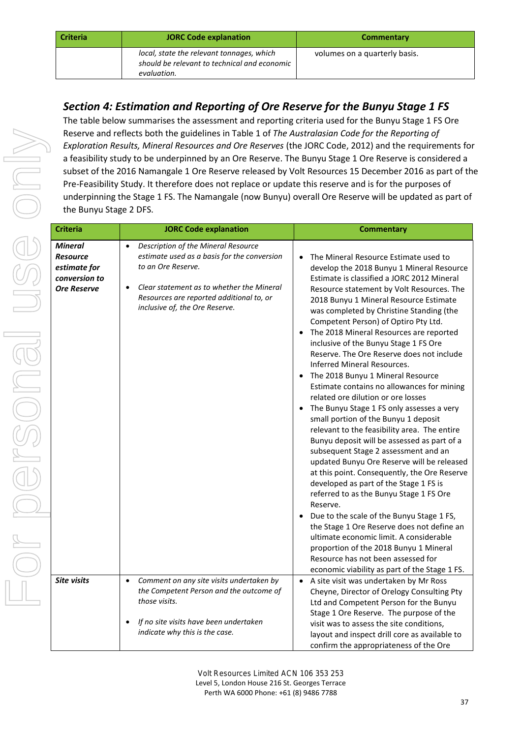| <b>Criteria</b> | <b>JORC Code explanation</b>                                                                             | <b>Commentary</b>             |
|-----------------|----------------------------------------------------------------------------------------------------------|-------------------------------|
|                 | local, state the relevant tonnages, which<br>should be relevant to technical and economic<br>evaluation. | volumes on a quarterly basis. |

## *Section 4: Estimation and Reporting of Ore Reserve for the Bunyu Stage 1 FS*

The table below summarises the assessment and reporting criteria used for the Bunyu Stage 1 FS Ore Reserve and reflects both the guidelines in Table 1 of *The Australasian Code for the Reporting of Exploration Results, Mineral Resources and Ore Reserves* (the JORC Code, 2012) and the requirements for a feasibility study to be underpinned by an Ore Reserve. The Bunyu Stage 1 Ore Reserve is considered a subset of the 2016 Namangale 1 Ore Reserve released by Volt Resources 15 December 2016 as part of the Pre-Feasibility Study. It therefore does not replace or update this reserve and is for the purposes of underpinning the Stage 1 FS. The Namangale (now Bunyu) overall Ore Reserve will be updated as part of the Bunyu Stage 2 DFS.

| <b>Criteria</b>                                                                          | <b>JORC Code explanation</b>                                                                                                                                                                                                                                  | <b>Commentary</b>                                                                                                                                                                                                                                                                                                                                                                                                                                                                                                                                                                                                                                                                                                                                                                                                                                                                                                                                                                                                                                                                                                                                                                                                                                                                                                   |
|------------------------------------------------------------------------------------------|---------------------------------------------------------------------------------------------------------------------------------------------------------------------------------------------------------------------------------------------------------------|---------------------------------------------------------------------------------------------------------------------------------------------------------------------------------------------------------------------------------------------------------------------------------------------------------------------------------------------------------------------------------------------------------------------------------------------------------------------------------------------------------------------------------------------------------------------------------------------------------------------------------------------------------------------------------------------------------------------------------------------------------------------------------------------------------------------------------------------------------------------------------------------------------------------------------------------------------------------------------------------------------------------------------------------------------------------------------------------------------------------------------------------------------------------------------------------------------------------------------------------------------------------------------------------------------------------|
| <b>Mineral</b><br><b>Resource</b><br>estimate for<br>conversion to<br><b>Ore Reserve</b> | Description of the Mineral Resource<br>$\bullet$<br>estimate used as a basis for the conversion<br>to an Ore Reserve.<br>Clear statement as to whether the Mineral<br>$\bullet$<br>Resources are reported additional to, or<br>inclusive of, the Ore Reserve. | The Mineral Resource Estimate used to<br>$\bullet$<br>develop the 2018 Bunyu 1 Mineral Resource<br>Estimate is classified a JORC 2012 Mineral<br>Resource statement by Volt Resources. The<br>2018 Bunyu 1 Mineral Resource Estimate<br>was completed by Christine Standing (the<br>Competent Person) of Optiro Pty Ltd.<br>The 2018 Mineral Resources are reported<br>inclusive of the Bunyu Stage 1 FS Ore<br>Reserve. The Ore Reserve does not include<br>Inferred Mineral Resources.<br>The 2018 Bunyu 1 Mineral Resource<br>Estimate contains no allowances for mining<br>related ore dilution or ore losses<br>The Bunyu Stage 1 FS only assesses a very<br>small portion of the Bunyu 1 deposit<br>relevant to the feasibility area. The entire<br>Bunyu deposit will be assessed as part of a<br>subsequent Stage 2 assessment and an<br>updated Bunyu Ore Reserve will be released<br>at this point. Consequently, the Ore Reserve<br>developed as part of the Stage 1 FS is<br>referred to as the Bunyu Stage 1 FS Ore<br>Reserve.<br>Due to the scale of the Bunyu Stage 1 FS,<br>the Stage 1 Ore Reserve does not define an<br>ultimate economic limit. A considerable<br>proportion of the 2018 Bunyu 1 Mineral<br>Resource has not been assessed for<br>economic viability as part of the Stage 1 FS. |
| <b>Site visits</b>                                                                       | Comment on any site visits undertaken by<br>the Competent Person and the outcome of<br>those visits.<br>If no site visits have been undertaken<br>indicate why this is the case.                                                                              | A site visit was undertaken by Mr Ross<br>$\bullet$<br>Cheyne, Director of Orelogy Consulting Pty<br>Ltd and Competent Person for the Bunyu<br>Stage 1 Ore Reserve. The purpose of the<br>visit was to assess the site conditions,<br>layout and inspect drill core as available to<br>confirm the appropriateness of the Ore                                                                                                                                                                                                                                                                                                                                                                                                                                                                                                                                                                                                                                                                                                                                                                                                                                                                                                                                                                                       |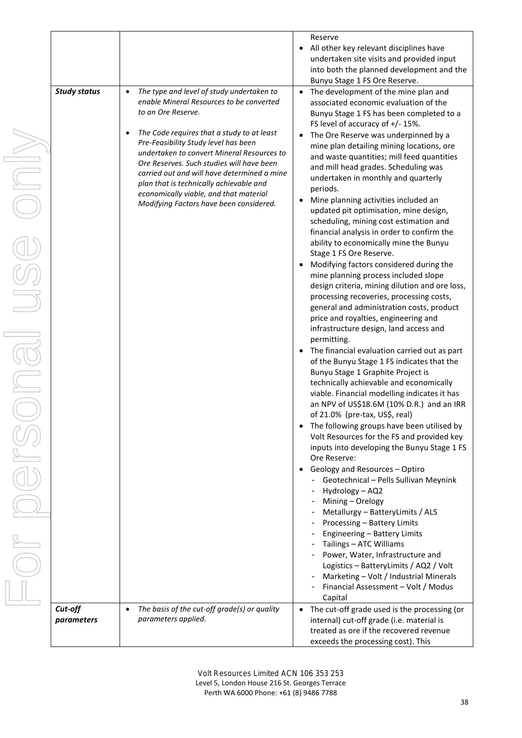|                     |                                                                                    | Reserve                                                                                 |
|---------------------|------------------------------------------------------------------------------------|-----------------------------------------------------------------------------------------|
|                     |                                                                                    | All other key relevant disciplines have                                                 |
|                     |                                                                                    | undertaken site visits and provided input                                               |
|                     |                                                                                    | into both the planned development and the                                               |
|                     |                                                                                    | Bunyu Stage 1 FS Ore Reserve.                                                           |
| <b>Study status</b> | The type and level of study undertaken to<br>$\bullet$                             | The development of the mine plan and<br>$\bullet$                                       |
|                     | enable Mineral Resources to be converted                                           | associated economic evaluation of the                                                   |
|                     | to an Ore Reserve.                                                                 | Bunyu Stage 1 FS has been completed to a                                                |
|                     |                                                                                    | FS level of accuracy of +/- 15%.                                                        |
|                     | The Code requires that a study to at least<br>Pre-Feasibility Study level has been | The Ore Reserve was underpinned by a<br>$\bullet$                                       |
|                     | undertaken to convert Mineral Resources to                                         | mine plan detailing mining locations, ore                                               |
|                     | Ore Reserves. Such studies will have been                                          | and waste quantities; mill feed quantities                                              |
|                     | carried out and will have determined a mine                                        | and mill head grades. Scheduling was                                                    |
|                     | plan that is technically achievable and                                            | undertaken in monthly and quarterly                                                     |
|                     | economically viable, and that material                                             | periods.                                                                                |
|                     | Modifying Factors have been considered.                                            | Mine planning activities included an<br>updated pit optimisation, mine design,          |
|                     |                                                                                    | scheduling, mining cost estimation and                                                  |
|                     |                                                                                    | financial analysis in order to confirm the                                              |
|                     |                                                                                    | ability to economically mine the Bunyu                                                  |
|                     |                                                                                    | Stage 1 FS Ore Reserve.                                                                 |
|                     |                                                                                    | Modifying factors considered during the                                                 |
|                     |                                                                                    | mine planning process included slope                                                    |
|                     |                                                                                    | design criteria, mining dilution and ore loss,                                          |
|                     |                                                                                    | processing recoveries, processing costs,                                                |
|                     |                                                                                    | general and administration costs, product                                               |
|                     |                                                                                    | price and royalties, engineering and                                                    |
|                     |                                                                                    | infrastructure design, land access and                                                  |
|                     |                                                                                    | permitting.                                                                             |
|                     |                                                                                    | The financial evaluation carried out as part                                            |
|                     |                                                                                    | of the Bunyu Stage 1 FS indicates that the                                              |
|                     |                                                                                    | Bunyu Stage 1 Graphite Project is                                                       |
|                     |                                                                                    | technically achievable and economically<br>viable. Financial modelling indicates it has |
|                     |                                                                                    | an NPV of US\$18.6M (10% D.R.) and an IRR                                               |
|                     |                                                                                    | of 21.0% (pre-tax, US\$, real)                                                          |
|                     |                                                                                    | The following groups have been utilised by                                              |
|                     |                                                                                    | Volt Resources for the FS and provided key                                              |
|                     |                                                                                    | inputs into developing the Bunyu Stage 1 FS                                             |
|                     |                                                                                    | Ore Reserve:                                                                            |
|                     |                                                                                    | Geology and Resources - Optiro                                                          |
|                     |                                                                                    | Geotechnical - Pells Sullivan Meynink                                                   |
|                     |                                                                                    | Hydrology - AQ2                                                                         |
|                     |                                                                                    | - Mining - Orelogy                                                                      |
|                     |                                                                                    | Metallurgy - BatteryLimits / ALS                                                        |
|                     |                                                                                    | Processing - Battery Limits                                                             |
|                     |                                                                                    | Engineering - Battery Limits                                                            |
|                     |                                                                                    | Tailings – ATC Williams                                                                 |
|                     |                                                                                    | Power, Water, Infrastructure and                                                        |
|                     |                                                                                    | Logistics - BatteryLimits / AQ2 / Volt                                                  |
|                     |                                                                                    | Marketing - Volt / Industrial Minerals<br>Financial Assessment - Volt / Modus           |
|                     |                                                                                    | Capital                                                                                 |
| Cut-off             | The basis of the cut-off grade(s) or quality                                       | The cut-off grade used is the processing (or<br>$\bullet$                               |
| parameters          | parameters applied.                                                                | internal) cut-off grade (i.e. material is                                               |
|                     |                                                                                    | treated as ore if the recovered revenue                                                 |
|                     |                                                                                    | exceeds the processing cost). This                                                      |

38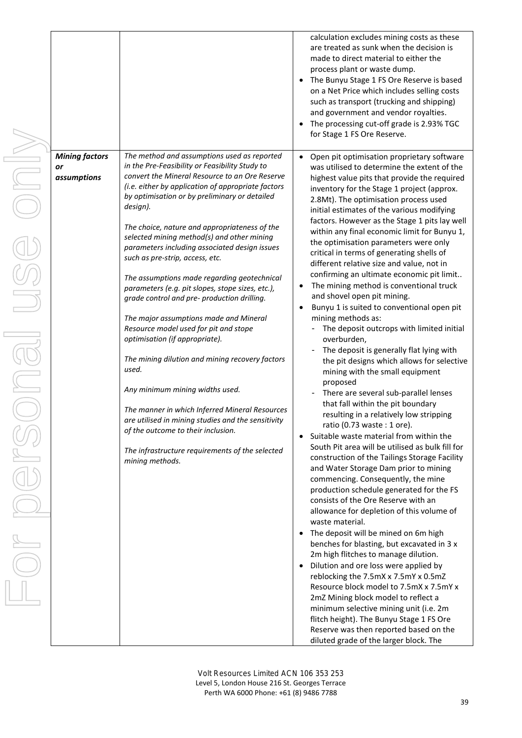| <b>Mining factors</b>    | The method and assumptions used as reported                                                                                                                                                                                                                                                                                                                                                                                                                                                                                                                                                                                                                                                                                                                                           | calculation excludes mining costs as these<br>are treated as sunk when the decision is<br>made to direct material to either the<br>process plant or waste dump.<br>The Bunyu Stage 1 FS Ore Reserve is based<br>on a Net Price which includes selling costs<br>such as transport (trucking and shipping)<br>and government and vendor royalties.<br>The processing cut-off grade is 2.93% TGC<br>for Stage 1 FS Ore Reserve.<br>Open pit optimisation proprietary software                                                                                                                                                                                                                                                                                                                                                                                                                                                                                                                                                                                                                                                                                                                                                                                                                                                                                                                                                                                                                                                                                                                                                                                                                         |
|--------------------------|---------------------------------------------------------------------------------------------------------------------------------------------------------------------------------------------------------------------------------------------------------------------------------------------------------------------------------------------------------------------------------------------------------------------------------------------------------------------------------------------------------------------------------------------------------------------------------------------------------------------------------------------------------------------------------------------------------------------------------------------------------------------------------------|----------------------------------------------------------------------------------------------------------------------------------------------------------------------------------------------------------------------------------------------------------------------------------------------------------------------------------------------------------------------------------------------------------------------------------------------------------------------------------------------------------------------------------------------------------------------------------------------------------------------------------------------------------------------------------------------------------------------------------------------------------------------------------------------------------------------------------------------------------------------------------------------------------------------------------------------------------------------------------------------------------------------------------------------------------------------------------------------------------------------------------------------------------------------------------------------------------------------------------------------------------------------------------------------------------------------------------------------------------------------------------------------------------------------------------------------------------------------------------------------------------------------------------------------------------------------------------------------------------------------------------------------------------------------------------------------------|
| <b>or</b><br>assumptions | in the Pre-Feasibility or Feasibility Study to<br>convert the Mineral Resource to an Ore Reserve<br>(i.e. either by application of appropriate factors<br>by optimisation or by preliminary or detailed                                                                                                                                                                                                                                                                                                                                                                                                                                                                                                                                                                               | was utilised to determine the extent of the<br>highest value pits that provide the required<br>inventory for the Stage 1 project (approx.                                                                                                                                                                                                                                                                                                                                                                                                                                                                                                                                                                                                                                                                                                                                                                                                                                                                                                                                                                                                                                                                                                                                                                                                                                                                                                                                                                                                                                                                                                                                                          |
|                          | design).<br>The choice, nature and appropriateness of the<br>selected mining method(s) and other mining<br>parameters including associated design issues<br>such as pre-strip, access, etc.<br>The assumptions made regarding geotechnical<br>parameters (e.g. pit slopes, stope sizes, etc.),<br>grade control and pre- production drilling.<br>The major assumptions made and Mineral<br>Resource model used for pit and stope<br>optimisation (if appropriate).<br>The mining dilution and mining recovery factors<br>used.<br>Any minimum mining widths used.<br>The manner in which Inferred Mineral Resources<br>are utilised in mining studies and the sensitivity<br>of the outcome to their inclusion.<br>The infrastructure requirements of the selected<br>mining methods. | 2.8Mt). The optimisation process used<br>initial estimates of the various modifying<br>factors. However as the Stage 1 pits lay well<br>within any final economic limit for Bunyu 1,<br>the optimisation parameters were only<br>critical in terms of generating shells of<br>different relative size and value, not in<br>confirming an ultimate economic pit limit<br>The mining method is conventional truck<br>and shovel open pit mining.<br>Bunyu 1 is suited to conventional open pit<br>mining methods as:<br>The deposit outcrops with limited initial<br>overburden,<br>The deposit is generally flat lying with<br>the pit designs which allows for selective<br>mining with the small equipment<br>proposed<br>There are several sub-parallel lenses<br>that fall within the pit boundary<br>resulting in a relatively low stripping<br>ratio (0.73 waste : 1 ore).<br>Suitable waste material from within the<br>South Pit area will be utilised as bulk fill for<br>construction of the Tailings Storage Facility<br>and Water Storage Dam prior to mining<br>commencing. Consequently, the mine<br>production schedule generated for the FS<br>consists of the Ore Reserve with an<br>allowance for depletion of this volume of<br>waste material.<br>The deposit will be mined on 6m high<br>benches for blasting, but excavated in 3 x<br>2m high flitches to manage dilution.<br>Dilution and ore loss were applied by<br>reblocking the 7.5mX x 7.5mY x 0.5mZ<br>Resource block model to 7.5mX x 7.5mY x<br>2mZ Mining block model to reflect a<br>minimum selective mining unit (i.e. 2m<br>flitch height). The Bunyu Stage 1 FS Ore<br>Reserve was then reported based on the |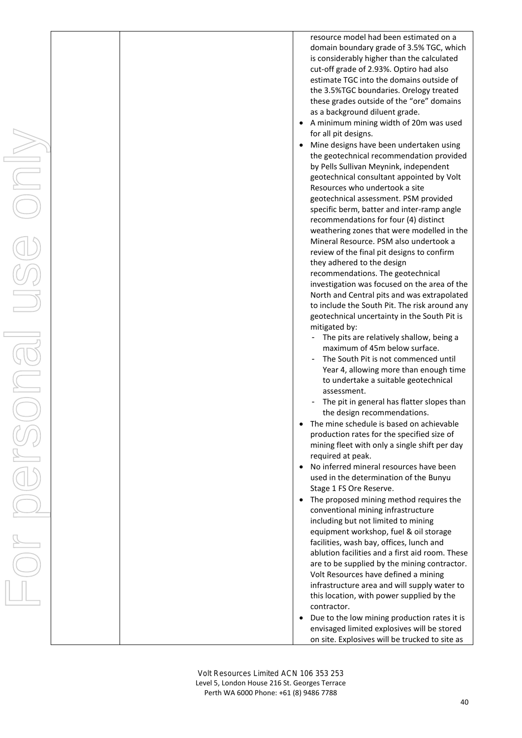|  |  | resource model had been estimated on a                                                       |
|--|--|----------------------------------------------------------------------------------------------|
|  |  | domain boundary grade of 3.5% TGC, which                                                     |
|  |  | is considerably higher than the calculated                                                   |
|  |  | cut-off grade of 2.93%. Optiro had also                                                      |
|  |  | estimate TGC into the domains outside of<br>the 3.5%TGC boundaries. Orelogy treated          |
|  |  | these grades outside of the "ore" domains                                                    |
|  |  | as a background diluent grade.                                                               |
|  |  | A minimum mining width of 20m was used                                                       |
|  |  | for all pit designs.                                                                         |
|  |  | Mine designs have been undertaken using                                                      |
|  |  | the geotechnical recommendation provided                                                     |
|  |  | by Pells Sullivan Meynink, independent                                                       |
|  |  | geotechnical consultant appointed by Volt                                                    |
|  |  | Resources who undertook a site                                                               |
|  |  | geotechnical assessment. PSM provided<br>specific berm, batter and inter-ramp angle          |
|  |  | recommendations for four (4) distinct                                                        |
|  |  | weathering zones that were modelled in the                                                   |
|  |  | Mineral Resource. PSM also undertook a                                                       |
|  |  | review of the final pit designs to confirm                                                   |
|  |  | they adhered to the design                                                                   |
|  |  | recommendations. The geotechnical                                                            |
|  |  | investigation was focused on the area of the                                                 |
|  |  | North and Central pits and was extrapolated<br>to include the South Pit. The risk around any |
|  |  | geotechnical uncertainty in the South Pit is                                                 |
|  |  | mitigated by:                                                                                |
|  |  | The pits are relatively shallow, being a                                                     |
|  |  | maximum of 45m below surface.                                                                |
|  |  | The South Pit is not commenced until                                                         |
|  |  | Year 4, allowing more than enough time                                                       |
|  |  | to undertake a suitable geotechnical<br>assessment.                                          |
|  |  | The pit in general has flatter slopes than                                                   |
|  |  | the design recommendations.                                                                  |
|  |  | The mine schedule is based on achievable                                                     |
|  |  | production rates for the specified size of                                                   |
|  |  | mining fleet with only a single shift per day                                                |
|  |  | required at peak.                                                                            |
|  |  | No inferred mineral resources have been                                                      |
|  |  | used in the determination of the Bunyu                                                       |
|  |  | Stage 1 FS Ore Reserve.<br>The proposed mining method requires the                           |
|  |  | conventional mining infrastructure                                                           |
|  |  | including but not limited to mining                                                          |
|  |  | equipment workshop, fuel & oil storage                                                       |
|  |  | facilities, wash bay, offices, lunch and                                                     |
|  |  | ablution facilities and a first aid room. These                                              |
|  |  | are to be supplied by the mining contractor.                                                 |
|  |  | Volt Resources have defined a mining<br>infrastructure area and will supply water to         |
|  |  | this location, with power supplied by the                                                    |
|  |  | contractor.                                                                                  |
|  |  | Due to the low mining production rates it is                                                 |
|  |  | envisaged limited explosives will be stored                                                  |
|  |  | on site. Explosives will be trucked to site as                                               |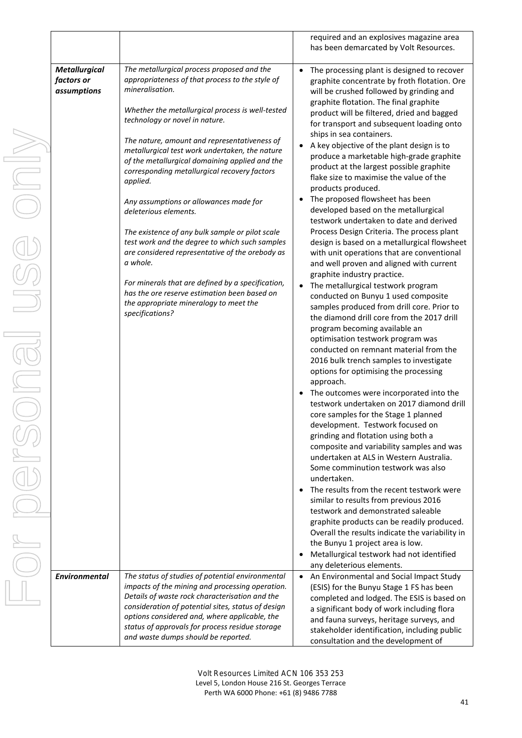|                                                   |                                                                                                                                                                                                                                                                                                                                                        | required and an explosives magazine area<br>has been demarcated by Volt Resources.                                                                                                                                                                                                                                                                                                                                                                                                                                                                                                                                                                                                                                                                                                                                                                                                                                                                                                                                                                                                                                                    |
|---------------------------------------------------|--------------------------------------------------------------------------------------------------------------------------------------------------------------------------------------------------------------------------------------------------------------------------------------------------------------------------------------------------------|---------------------------------------------------------------------------------------------------------------------------------------------------------------------------------------------------------------------------------------------------------------------------------------------------------------------------------------------------------------------------------------------------------------------------------------------------------------------------------------------------------------------------------------------------------------------------------------------------------------------------------------------------------------------------------------------------------------------------------------------------------------------------------------------------------------------------------------------------------------------------------------------------------------------------------------------------------------------------------------------------------------------------------------------------------------------------------------------------------------------------------------|
| <b>Metallurgical</b><br>factors or<br>assumptions | The metallurgical process proposed and the<br>appropriateness of that process to the style of<br>mineralisation.<br>Whether the metallurgical process is well-tested<br>technology or novel in nature.                                                                                                                                                 | The processing plant is designed to recover<br>$\bullet$<br>graphite concentrate by froth flotation. Ore<br>will be crushed followed by grinding and<br>graphite flotation. The final graphite<br>product will be filtered, dried and bagged<br>for transport and subsequent loading onto                                                                                                                                                                                                                                                                                                                                                                                                                                                                                                                                                                                                                                                                                                                                                                                                                                             |
|                                                   | The nature, amount and representativeness of<br>metallurgical test work undertaken, the nature<br>of the metallurgical domaining applied and the<br>corresponding metallurgical recovery factors<br>applied.                                                                                                                                           | ships in sea containers.<br>A key objective of the plant design is to<br>$\bullet$<br>produce a marketable high-grade graphite<br>product at the largest possible graphite<br>flake size to maximise the value of the<br>products produced.                                                                                                                                                                                                                                                                                                                                                                                                                                                                                                                                                                                                                                                                                                                                                                                                                                                                                           |
|                                                   | Any assumptions or allowances made for<br>deleterious elements.<br>The existence of any bulk sample or pilot scale                                                                                                                                                                                                                                     | The proposed flowsheet has been<br>$\bullet$<br>developed based on the metallurgical<br>testwork undertaken to date and derived<br>Process Design Criteria. The process plant                                                                                                                                                                                                                                                                                                                                                                                                                                                                                                                                                                                                                                                                                                                                                                                                                                                                                                                                                         |
|                                                   | test work and the degree to which such samples<br>are considered representative of the orebody as<br>a whole.                                                                                                                                                                                                                                          | design is based on a metallurgical flowsheet<br>with unit operations that are conventional<br>and well proven and aligned with current                                                                                                                                                                                                                                                                                                                                                                                                                                                                                                                                                                                                                                                                                                                                                                                                                                                                                                                                                                                                |
|                                                   | For minerals that are defined by a specification,<br>has the ore reserve estimation been based on<br>the appropriate mineralogy to meet the<br>specifications?                                                                                                                                                                                         | graphite industry practice.<br>The metallurgical testwork program<br>conducted on Bunyu 1 used composite<br>samples produced from drill core. Prior to<br>the diamond drill core from the 2017 drill<br>program becoming available an<br>optimisation testwork program was<br>conducted on remnant material from the<br>2016 bulk trench samples to investigate<br>options for optimising the processing<br>approach.<br>The outcomes were incorporated into the<br>testwork undertaken on 2017 diamond drill<br>core samples for the Stage 1 planned<br>development. Testwork focused on<br>grinding and flotation using both a<br>composite and variability samples and was<br>undertaken at ALS in Western Australia.<br>Some comminution testwork was also<br>undertaken.<br>The results from the recent testwork were<br>$\bullet$<br>similar to results from previous 2016<br>testwork and demonstrated saleable<br>graphite products can be readily produced.<br>Overall the results indicate the variability in<br>the Bunyu 1 project area is low.<br>Metallurgical testwork had not identified<br>any deleterious elements. |
| <b>Environmental</b>                              | The status of studies of potential environmental<br>impacts of the mining and processing operation.<br>Details of waste rock characterisation and the<br>consideration of potential sites, status of design<br>options considered and, where applicable, the<br>status of approvals for process residue storage<br>and waste dumps should be reported. | • An Environmental and Social Impact Study<br>(ESIS) for the Bunyu Stage 1 FS has been<br>completed and lodged. The ESIS is based on<br>a significant body of work including flora<br>and fauna surveys, heritage surveys, and<br>stakeholder identification, including public<br>consultation and the development of                                                                                                                                                                                                                                                                                                                                                                                                                                                                                                                                                                                                                                                                                                                                                                                                                 |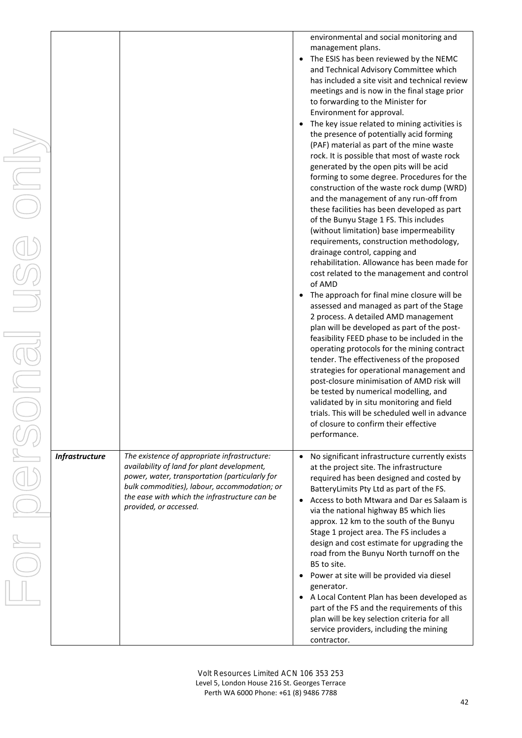| $\overline{\phantom{a}}$ |                       |                                                                                                                                                                                                                                                                          | environmental and social monitoring and<br>management plans.<br>The ESIS has been reviewed by the NEMC<br>and Technical Advisory Committee which<br>has included a site visit and technical review<br>meetings and is now in the final stage prior<br>to forwarding to the Minister for<br>Environment for approval.<br>The key issue related to mining activities is<br>the presence of potentially acid forming<br>(PAF) material as part of the mine waste<br>rock. It is possible that most of waste rock<br>generated by the open pits will be acid<br>forming to some degree. Procedures for the<br>construction of the waste rock dump (WRD)<br>and the management of any run-off from<br>these facilities has been developed as part<br>of the Bunyu Stage 1 FS. This includes<br>(without limitation) base impermeability<br>requirements, construction methodology,<br>drainage control, capping and<br>rehabilitation. Allowance has been made for<br>cost related to the management and control<br>of AMD<br>The approach for final mine closure will be<br>assessed and managed as part of the Stage<br>2 process. A detailed AMD management<br>plan will be developed as part of the post-<br>feasibility FEED phase to be included in the<br>operating protocols for the mining contract<br>tender. The effectiveness of the proposed<br>strategies for operational management and<br>post-closure minimisation of AMD risk will<br>be tested by numerical modelling, and<br>validated by in situ monitoring and field<br>trials. This will be scheduled well in advance<br>of closure to confirm their effective |
|--------------------------|-----------------------|--------------------------------------------------------------------------------------------------------------------------------------------------------------------------------------------------------------------------------------------------------------------------|----------------------------------------------------------------------------------------------------------------------------------------------------------------------------------------------------------------------------------------------------------------------------------------------------------------------------------------------------------------------------------------------------------------------------------------------------------------------------------------------------------------------------------------------------------------------------------------------------------------------------------------------------------------------------------------------------------------------------------------------------------------------------------------------------------------------------------------------------------------------------------------------------------------------------------------------------------------------------------------------------------------------------------------------------------------------------------------------------------------------------------------------------------------------------------------------------------------------------------------------------------------------------------------------------------------------------------------------------------------------------------------------------------------------------------------------------------------------------------------------------------------------------------------------------------------------------------------------------------------------------------|
|                          |                       |                                                                                                                                                                                                                                                                          | performance.                                                                                                                                                                                                                                                                                                                                                                                                                                                                                                                                                                                                                                                                                                                                                                                                                                                                                                                                                                                                                                                                                                                                                                                                                                                                                                                                                                                                                                                                                                                                                                                                                     |
|                          | <b>Infrastructure</b> | The existence of appropriate infrastructure:<br>availability of land for plant development,<br>power, water, transportation (particularly for<br>bulk commodities), labour, accommodation; or<br>the ease with which the infrastructure can be<br>provided, or accessed. | No significant infrastructure currently exists<br>at the project site. The infrastructure<br>required has been designed and costed by<br>BatteryLimits Pty Ltd as part of the FS.<br>Access to both Mtwara and Dar es Salaam is<br>via the national highway B5 which lies<br>approx. 12 km to the south of the Bunyu<br>Stage 1 project area. The FS includes a<br>design and cost estimate for upgrading the<br>road from the Bunyu North turnoff on the<br>B5 to site.<br>Power at site will be provided via diesel<br>generator.<br>A Local Content Plan has been developed as<br>part of the FS and the requirements of this<br>plan will be key selection criteria for all<br>service providers, including the mining<br>contractor.                                                                                                                                                                                                                                                                                                                                                                                                                                                                                                                                                                                                                                                                                                                                                                                                                                                                                        |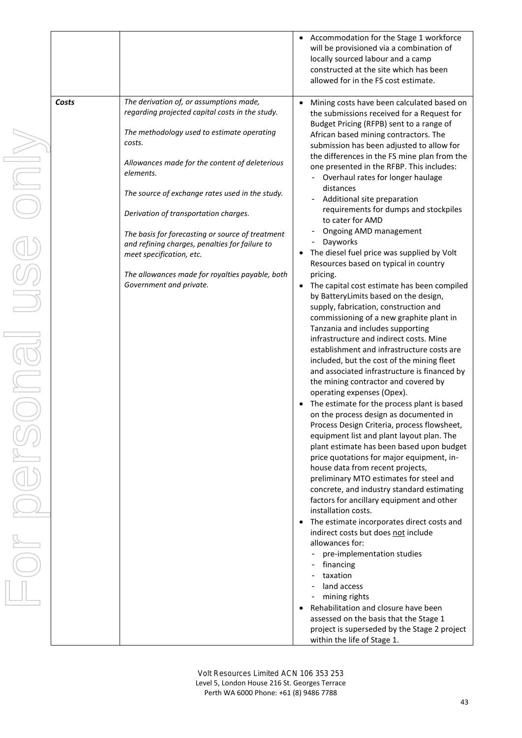|       |                                                                                                                                                                                                                                                                                                                                                                                                                                                                                                                               |                                                  | Accommodation for the Stage 1 workforce<br>will be provisioned via a combination of<br>locally sourced labour and a camp<br>constructed at the site which has been<br>allowed for in the FS cost estimate.                                                                                                                                                                                                                                                                                                                                                                                                                                                                                                                                                                                                                                                                                                                                                                                                                                                                                                                                                                                                                                                                                                                                                                                                                                                                                                                                                                                                                                                                                                                                                                                                                                                                                                               |
|-------|-------------------------------------------------------------------------------------------------------------------------------------------------------------------------------------------------------------------------------------------------------------------------------------------------------------------------------------------------------------------------------------------------------------------------------------------------------------------------------------------------------------------------------|--------------------------------------------------|--------------------------------------------------------------------------------------------------------------------------------------------------------------------------------------------------------------------------------------------------------------------------------------------------------------------------------------------------------------------------------------------------------------------------------------------------------------------------------------------------------------------------------------------------------------------------------------------------------------------------------------------------------------------------------------------------------------------------------------------------------------------------------------------------------------------------------------------------------------------------------------------------------------------------------------------------------------------------------------------------------------------------------------------------------------------------------------------------------------------------------------------------------------------------------------------------------------------------------------------------------------------------------------------------------------------------------------------------------------------------------------------------------------------------------------------------------------------------------------------------------------------------------------------------------------------------------------------------------------------------------------------------------------------------------------------------------------------------------------------------------------------------------------------------------------------------------------------------------------------------------------------------------------------------|
| Costs | The derivation of, or assumptions made,<br>regarding projected capital costs in the study.<br>The methodology used to estimate operating<br>costs.<br>Allowances made for the content of deleterious<br>elements.<br>The source of exchange rates used in the study.<br>Derivation of transportation charges.<br>The basis for forecasting or source of treatment<br>and refining charges, penalties for failure to<br>meet specification, etc.<br>The allowances made for royalties payable, both<br>Government and private. | $\bullet$<br>$\bullet$<br>$\bullet$<br>$\bullet$ | Mining costs have been calculated based on<br>the submissions received for a Request for<br>Budget Pricing (RFPB) sent to a range of<br>African based mining contractors. The<br>submission has been adjusted to allow for<br>the differences in the FS mine plan from the<br>one presented in the RFBP. This includes:<br>Overhaul rates for longer haulage<br>distances<br>Additional site preparation<br>requirements for dumps and stockpiles<br>to cater for AMD<br>Ongoing AMD management<br>٠<br>- Dayworks<br>The diesel fuel price was supplied by Volt<br>Resources based on typical in country<br>pricing.<br>The capital cost estimate has been compiled<br>by BatteryLimits based on the design,<br>supply, fabrication, construction and<br>commissioning of a new graphite plant in<br>Tanzania and includes supporting<br>infrastructure and indirect costs. Mine<br>establishment and infrastructure costs are<br>included, but the cost of the mining fleet<br>and associated infrastructure is financed by<br>the mining contractor and covered by<br>operating expenses (Opex).<br>The estimate for the process plant is based<br>on the process design as documented in<br>Process Design Criteria, process flowsheet,<br>equipment list and plant layout plan. The<br>plant estimate has been based upon budget<br>price quotations for major equipment, in-<br>house data from recent projects,<br>preliminary MTO estimates for steel and<br>concrete, and industry standard estimating<br>factors for ancillary equipment and other<br>installation costs.<br>The estimate incorporates direct costs and<br>indirect costs but does not include<br>allowances for:<br>pre-implementation studies<br>financing<br>- taxation<br>- land access<br>mining rights<br>Rehabilitation and closure have been<br>assessed on the basis that the Stage 1<br>project is superseded by the Stage 2 project |
|       |                                                                                                                                                                                                                                                                                                                                                                                                                                                                                                                               |                                                  | within the life of Stage 1.                                                                                                                                                                                                                                                                                                                                                                                                                                                                                                                                                                                                                                                                                                                                                                                                                                                                                                                                                                                                                                                                                                                                                                                                                                                                                                                                                                                                                                                                                                                                                                                                                                                                                                                                                                                                                                                                                              |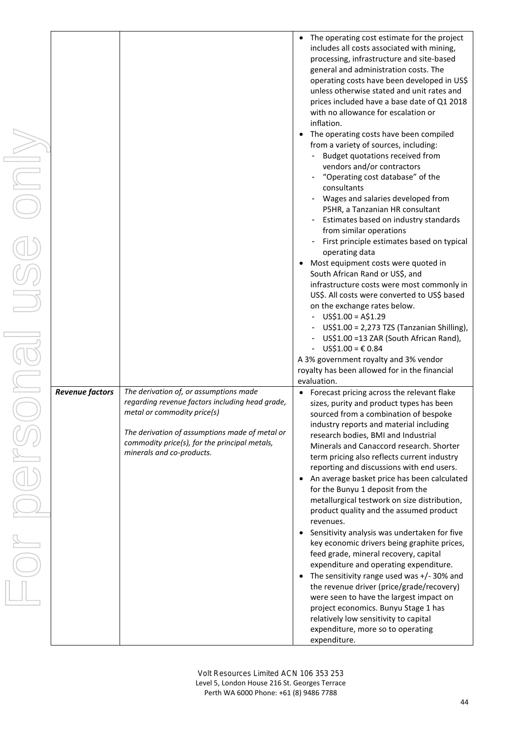|                        |                                                                                                                              | The operating cost estimate for the project<br>includes all costs associated with mining,<br>processing, infrastructure and site-based<br>general and administration costs. The<br>operating costs have been developed in US\$<br>unless otherwise stated and unit rates and<br>prices included have a base date of Q1 2018<br>with no allowance for escalation or<br>inflation.<br>The operating costs have been compiled<br>from a variety of sources, including:<br>Budget quotations received from<br>vendors and/or contractors<br>"Operating cost database" of the<br>consultants<br>Wages and salaries developed from<br>P5HR, a Tanzanian HR consultant<br>Estimates based on industry standards<br>from similar operations<br>First principle estimates based on typical<br>operating data<br>Most equipment costs were quoted in<br>South African Rand or US\$, and<br>infrastructure costs were most commonly in<br>US\$. All costs were converted to US\$ based<br>on the exchange rates below.<br>$US$1.00 = A$1.29$<br>US\$1.00 = 2,273 TZS (Tanzanian Shilling),<br>US\$1.00 =13 ZAR (South African Rand),<br>US\$1.00 = € 0.84<br>A 3% government royalty and 3% vendor<br>royalty has been allowed for in the financial |
|------------------------|------------------------------------------------------------------------------------------------------------------------------|------------------------------------------------------------------------------------------------------------------------------------------------------------------------------------------------------------------------------------------------------------------------------------------------------------------------------------------------------------------------------------------------------------------------------------------------------------------------------------------------------------------------------------------------------------------------------------------------------------------------------------------------------------------------------------------------------------------------------------------------------------------------------------------------------------------------------------------------------------------------------------------------------------------------------------------------------------------------------------------------------------------------------------------------------------------------------------------------------------------------------------------------------------------------------------------------------------------------------------------|
| <b>Revenue factors</b> | The derivation of, or assumptions made<br>regarding revenue factors including head grade,<br>metal or commodity price(s)     | evaluation.<br>Forecast pricing across the relevant flake<br>sizes, purity and product types has been<br>sourced from a combination of bespoke                                                                                                                                                                                                                                                                                                                                                                                                                                                                                                                                                                                                                                                                                                                                                                                                                                                                                                                                                                                                                                                                                           |
|                        | The derivation of assumptions made of metal or<br>commodity price(s), for the principal metals,<br>minerals and co-products. | industry reports and material including<br>research bodies, BMI and Industrial<br>Minerals and Canaccord research. Shorter<br>term pricing also reflects current industry<br>reporting and discussions with end users.                                                                                                                                                                                                                                                                                                                                                                                                                                                                                                                                                                                                                                                                                                                                                                                                                                                                                                                                                                                                                   |
|                        |                                                                                                                              | An average basket price has been calculated<br>for the Bunyu 1 deposit from the<br>metallurgical testwork on size distribution,<br>product quality and the assumed product                                                                                                                                                                                                                                                                                                                                                                                                                                                                                                                                                                                                                                                                                                                                                                                                                                                                                                                                                                                                                                                               |
|                        |                                                                                                                              | revenues.<br>Sensitivity analysis was undertaken for five<br>key economic drivers being graphite prices,<br>feed grade, mineral recovery, capital<br>expenditure and operating expenditure.                                                                                                                                                                                                                                                                                                                                                                                                                                                                                                                                                                                                                                                                                                                                                                                                                                                                                                                                                                                                                                              |
|                        |                                                                                                                              | The sensitivity range used was +/- 30% and<br>the revenue driver (price/grade/recovery)<br>were seen to have the largest impact on<br>project economics. Bunyu Stage 1 has<br>relatively low sensitivity to capital<br>expenditure, more so to operating<br>expenditure.                                                                                                                                                                                                                                                                                                                                                                                                                                                                                                                                                                                                                                                                                                                                                                                                                                                                                                                                                                 |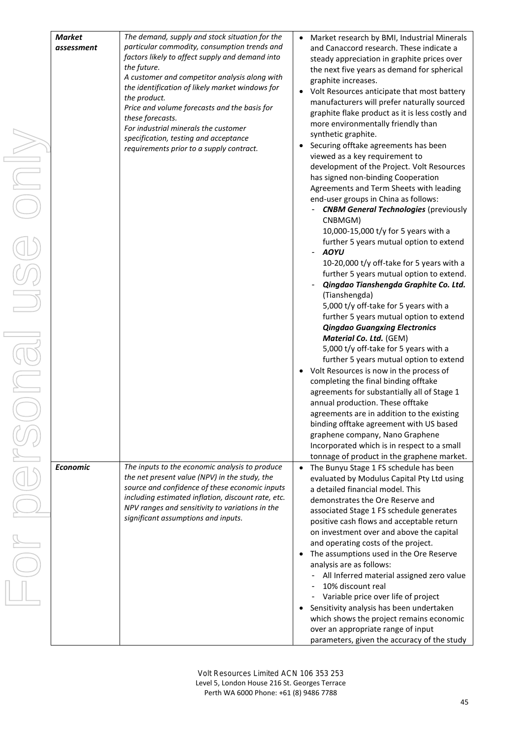| <b>Market</b><br>assessment | The demand, supply and stock situation for the<br>particular commodity, consumption trends and<br>factors likely to affect supply and demand into<br>the future.<br>A customer and competitor analysis along with<br>the identification of likely market windows for<br>the product.<br>Price and volume forecasts and the basis for<br>these forecasts.<br>For industrial minerals the customer<br>specification, testing and acceptance<br>requirements prior to a supply contract. | $\bullet$<br>٠<br>٠<br>$\bullet$ | Market research by BMI, Industrial Minerals<br>and Canaccord research. These indicate a<br>steady appreciation in graphite prices over<br>the next five years as demand for spherical<br>graphite increases.<br>Volt Resources anticipate that most battery<br>manufacturers will prefer naturally sourced<br>graphite flake product as it is less costly and<br>more environmentally friendly than<br>synthetic graphite.<br>Securing offtake agreements has been<br>viewed as a key requirement to<br>development of the Project. Volt Resources<br>has signed non-binding Cooperation<br>Agreements and Term Sheets with leading<br>end-user groups in China as follows:<br><b>CNBM General Technologies (previously</b><br>CNBMGM)<br>10,000-15,000 t/y for 5 years with a<br>further 5 years mutual option to extend<br><b>AOYU</b><br>10-20,000 t/y off-take for 5 years with a<br>further 5 years mutual option to extend.<br>Qingdao Tianshengda Graphite Co. Ltd.<br>(Tianshengda)<br>5,000 t/y off-take for 5 years with a<br>further 5 years mutual option to extend<br><b>Qingdao Guangxing Electronics</b><br>Material Co. Ltd. (GEM)<br>5,000 t/y off-take for 5 years with a<br>further 5 years mutual option to extend<br>Volt Resources is now in the process of<br>completing the final binding offtake<br>agreements for substantially all of Stage 1<br>annual production. These offtake<br>agreements are in addition to the existing<br>binding offtake agreement with US based<br>graphene company, Nano Graphene<br>Incorporated which is in respect to a small |
|-----------------------------|---------------------------------------------------------------------------------------------------------------------------------------------------------------------------------------------------------------------------------------------------------------------------------------------------------------------------------------------------------------------------------------------------------------------------------------------------------------------------------------|----------------------------------|-----------------------------------------------------------------------------------------------------------------------------------------------------------------------------------------------------------------------------------------------------------------------------------------------------------------------------------------------------------------------------------------------------------------------------------------------------------------------------------------------------------------------------------------------------------------------------------------------------------------------------------------------------------------------------------------------------------------------------------------------------------------------------------------------------------------------------------------------------------------------------------------------------------------------------------------------------------------------------------------------------------------------------------------------------------------------------------------------------------------------------------------------------------------------------------------------------------------------------------------------------------------------------------------------------------------------------------------------------------------------------------------------------------------------------------------------------------------------------------------------------------------------------------------------------------------------------------------|
| <b>Economic</b>             | The inputs to the economic analysis to produce<br>the net present value (NPV) in the study, the<br>source and confidence of these economic inputs<br>including estimated inflation, discount rate, etc.<br>NPV ranges and sensitivity to variations in the<br>significant assumptions and inputs.                                                                                                                                                                                     | $\bullet$                        | tonnage of product in the graphene market.<br>The Bunyu Stage 1 FS schedule has been<br>evaluated by Modulus Capital Pty Ltd using<br>a detailed financial model. This<br>demonstrates the Ore Reserve and<br>associated Stage 1 FS schedule generates<br>positive cash flows and acceptable return                                                                                                                                                                                                                                                                                                                                                                                                                                                                                                                                                                                                                                                                                                                                                                                                                                                                                                                                                                                                                                                                                                                                                                                                                                                                                     |
|                             |                                                                                                                                                                                                                                                                                                                                                                                                                                                                                       | $\bullet$<br>٠                   | on investment over and above the capital<br>and operating costs of the project.<br>The assumptions used in the Ore Reserve<br>analysis are as follows:<br>All Inferred material assigned zero value<br>10% discount real<br>Variable price over life of project<br>Sensitivity analysis has been undertaken<br>which shows the project remains economic<br>over an appropriate range of input<br>parameters, given the accuracy of the study                                                                                                                                                                                                                                                                                                                                                                                                                                                                                                                                                                                                                                                                                                                                                                                                                                                                                                                                                                                                                                                                                                                                            |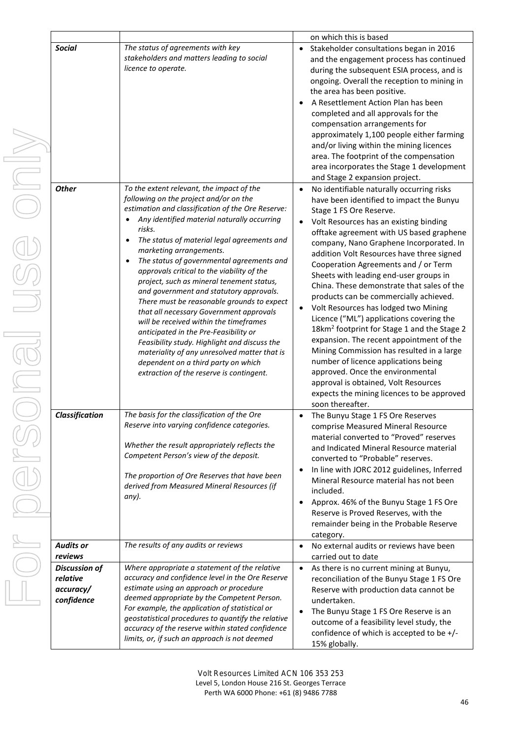|                                                             |                                                                                                                                                                                                                                                                                                                                                                                                                                                                                                                                                                                                                                                                                                                                                                                                                                                                      |                                     | on which this is based                                                                                                                                                                                                                                                                                                                                                                                                                                                                                                                                                                                                                                                                                                                                                                                                                                                                                 |
|-------------------------------------------------------------|----------------------------------------------------------------------------------------------------------------------------------------------------------------------------------------------------------------------------------------------------------------------------------------------------------------------------------------------------------------------------------------------------------------------------------------------------------------------------------------------------------------------------------------------------------------------------------------------------------------------------------------------------------------------------------------------------------------------------------------------------------------------------------------------------------------------------------------------------------------------|-------------------------------------|--------------------------------------------------------------------------------------------------------------------------------------------------------------------------------------------------------------------------------------------------------------------------------------------------------------------------------------------------------------------------------------------------------------------------------------------------------------------------------------------------------------------------------------------------------------------------------------------------------------------------------------------------------------------------------------------------------------------------------------------------------------------------------------------------------------------------------------------------------------------------------------------------------|
| <b>Social</b>                                               | The status of agreements with key<br>stakeholders and matters leading to social<br>licence to operate.                                                                                                                                                                                                                                                                                                                                                                                                                                                                                                                                                                                                                                                                                                                                                               | $\bullet$                           | Stakeholder consultations began in 2016<br>and the engagement process has continued<br>during the subsequent ESIA process, and is<br>ongoing. Overall the reception to mining in<br>the area has been positive.<br>A Resettlement Action Plan has been<br>completed and all approvals for the<br>compensation arrangements for<br>approximately 1,100 people either farming<br>and/or living within the mining licences<br>area. The footprint of the compensation<br>area incorporates the Stage 1 development<br>and Stage 2 expansion project.                                                                                                                                                                                                                                                                                                                                                      |
| <b>Other</b>                                                | To the extent relevant, the impact of the<br>following on the project and/or on the<br>estimation and classification of the Ore Reserve:<br>Any identified material naturally occurring<br>$\bullet$<br>risks.<br>The status of material legal agreements and<br>$\bullet$<br>marketing arrangements.<br>The status of governmental agreements and<br>$\bullet$<br>approvals critical to the viability of the<br>project, such as mineral tenement status,<br>and government and statutory approvals.<br>There must be reasonable grounds to expect<br>that all necessary Government approvals<br>will be received within the timeframes<br>anticipated in the Pre-Feasibility or<br>Feasibility study. Highlight and discuss the<br>materiality of any unresolved matter that is<br>dependent on a third party on which<br>extraction of the reserve is contingent. | $\bullet$<br>$\bullet$<br>$\bullet$ | No identifiable naturally occurring risks<br>have been identified to impact the Bunyu<br>Stage 1 FS Ore Reserve.<br>Volt Resources has an existing binding<br>offtake agreement with US based graphene<br>company, Nano Graphene Incorporated. In<br>addition Volt Resources have three signed<br>Cooperation Agreements and / or Term<br>Sheets with leading end-user groups in<br>China. These demonstrate that sales of the<br>products can be commercially achieved.<br>Volt Resources has lodged two Mining<br>Licence ("ML") applications covering the<br>18km <sup>2</sup> footprint for Stage 1 and the Stage 2<br>expansion. The recent appointment of the<br>Mining Commission has resulted in a large<br>number of licence applications being<br>approved. Once the environmental<br>approval is obtained, Volt Resources<br>expects the mining licences to be approved<br>soon thereafter. |
| Classification                                              | The basis for the classification of the Ore<br>Reserve into varying confidence categories.<br>Whether the result appropriately reflects the<br>Competent Person's view of the deposit.<br>The proportion of Ore Reserves that have been<br>derived from Measured Mineral Resources (if<br>any).                                                                                                                                                                                                                                                                                                                                                                                                                                                                                                                                                                      | $\bullet$<br>$\bullet$<br>$\bullet$ | The Bunyu Stage 1 FS Ore Reserves<br>comprise Measured Mineral Resource<br>material converted to "Proved" reserves<br>and Indicated Mineral Resource material<br>converted to "Probable" reserves.<br>In line with JORC 2012 guidelines, Inferred<br>Mineral Resource material has not been<br>included.<br>Approx. 46% of the Bunyu Stage 1 FS Ore<br>Reserve is Proved Reserves, with the<br>remainder being in the Probable Reserve<br>category.                                                                                                                                                                                                                                                                                                                                                                                                                                                    |
| <b>Audits or</b><br>reviews                                 | The results of any audits or reviews                                                                                                                                                                                                                                                                                                                                                                                                                                                                                                                                                                                                                                                                                                                                                                                                                                 | $\bullet$                           | No external audits or reviews have been<br>carried out to date                                                                                                                                                                                                                                                                                                                                                                                                                                                                                                                                                                                                                                                                                                                                                                                                                                         |
| <b>Discussion of</b><br>relative<br>accuracy/<br>confidence | Where appropriate a statement of the relative<br>accuracy and confidence level in the Ore Reserve<br>estimate using an approach or procedure<br>deemed appropriate by the Competent Person.<br>For example, the application of statistical or<br>geostatistical procedures to quantify the relative<br>accuracy of the reserve within stated confidence<br>limits, or, if such an approach is not deemed                                                                                                                                                                                                                                                                                                                                                                                                                                                             | $\bullet$<br>$\bullet$              | As there is no current mining at Bunyu,<br>reconciliation of the Bunyu Stage 1 FS Ore<br>Reserve with production data cannot be<br>undertaken.<br>The Bunyu Stage 1 FS Ore Reserve is an<br>outcome of a feasibility level study, the<br>confidence of which is accepted to be +/-<br>15% globally.                                                                                                                                                                                                                                                                                                                                                                                                                                                                                                                                                                                                    |